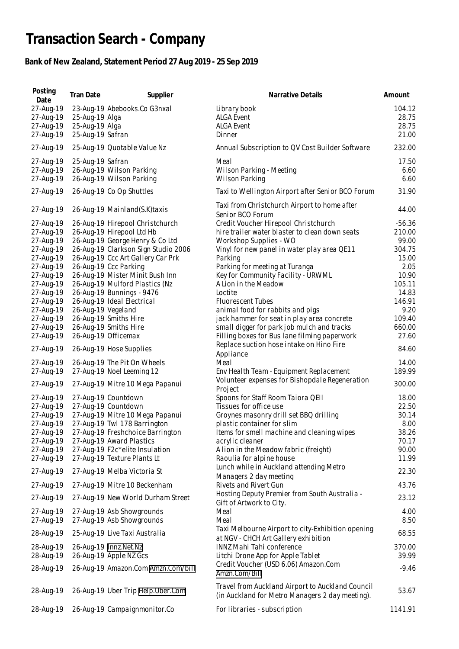## **Transaction Search - Company**

## **Bank of New Zealand, Statement Period 27 Aug 2019 - 25 Sep 2019**

| Posting<br>Date                                                                                                                                                                                                                                                                                                      | Tran Date                                            | Supplier                                                                                                                                                                                                                                                                                                                                                                                                                                                                                                                                                                                                                                                                                                                 | Narrative Details                                                                                                                                                                                                                                                                                                                                                                                                                                                                                                                                                                                                                                                                                                                                                                                                                                                                  | Amount                                                                                                                                                                                                                       |
|----------------------------------------------------------------------------------------------------------------------------------------------------------------------------------------------------------------------------------------------------------------------------------------------------------------------|------------------------------------------------------|--------------------------------------------------------------------------------------------------------------------------------------------------------------------------------------------------------------------------------------------------------------------------------------------------------------------------------------------------------------------------------------------------------------------------------------------------------------------------------------------------------------------------------------------------------------------------------------------------------------------------------------------------------------------------------------------------------------------------|------------------------------------------------------------------------------------------------------------------------------------------------------------------------------------------------------------------------------------------------------------------------------------------------------------------------------------------------------------------------------------------------------------------------------------------------------------------------------------------------------------------------------------------------------------------------------------------------------------------------------------------------------------------------------------------------------------------------------------------------------------------------------------------------------------------------------------------------------------------------------------|------------------------------------------------------------------------------------------------------------------------------------------------------------------------------------------------------------------------------|
| 27-Aug-19<br>27-Aug-19<br>27-Aug-19<br>27-Aug-19                                                                                                                                                                                                                                                                     | 25-Aug-19 Alga<br>25-Aug-19 Alga<br>25-Aug-19 Safran | 23-Aug-19 Abebooks.Co G3nxal                                                                                                                                                                                                                                                                                                                                                                                                                                                                                                                                                                                                                                                                                             | Library book<br><b>ALGA Event</b><br><b>ALGA Event</b><br>Dinner                                                                                                                                                                                                                                                                                                                                                                                                                                                                                                                                                                                                                                                                                                                                                                                                                   | 104.12<br>28.75<br>28.75<br>21.00                                                                                                                                                                                            |
| 27-Aug-19                                                                                                                                                                                                                                                                                                            |                                                      | 25-Aug-19 Quotable Value Nz                                                                                                                                                                                                                                                                                                                                                                                                                                                                                                                                                                                                                                                                                              | Annual Subscription to QV Cost Builder Software                                                                                                                                                                                                                                                                                                                                                                                                                                                                                                                                                                                                                                                                                                                                                                                                                                    | 232.00                                                                                                                                                                                                                       |
| 27-Aug-19                                                                                                                                                                                                                                                                                                            | 25-Aug-19 Safran                                     |                                                                                                                                                                                                                                                                                                                                                                                                                                                                                                                                                                                                                                                                                                                          | Meal                                                                                                                                                                                                                                                                                                                                                                                                                                                                                                                                                                                                                                                                                                                                                                                                                                                                               | 17.50                                                                                                                                                                                                                        |
| 27-Aug-19<br>27-Aug-19                                                                                                                                                                                                                                                                                               |                                                      | 26-Aug-19 Wilson Parking<br>26-Aug-19 Wilson Parking                                                                                                                                                                                                                                                                                                                                                                                                                                                                                                                                                                                                                                                                     | Wilson Parking - Meeting<br>Wilson Parking                                                                                                                                                                                                                                                                                                                                                                                                                                                                                                                                                                                                                                                                                                                                                                                                                                         | 6.60<br>6.60                                                                                                                                                                                                                 |
| 27-Aug-19                                                                                                                                                                                                                                                                                                            |                                                      | 26-Aug-19 Co Op Shuttles                                                                                                                                                                                                                                                                                                                                                                                                                                                                                                                                                                                                                                                                                                 | Taxi to Wellington Airport after Senior BCO Forum                                                                                                                                                                                                                                                                                                                                                                                                                                                                                                                                                                                                                                                                                                                                                                                                                                  | 31.90                                                                                                                                                                                                                        |
| 27-Aug-19                                                                                                                                                                                                                                                                                                            |                                                      | 26-Aug-19 Mainland(S.K)taxis                                                                                                                                                                                                                                                                                                                                                                                                                                                                                                                                                                                                                                                                                             | Taxi from Christchurch Airport to home after<br>Senior BCO Forum                                                                                                                                                                                                                                                                                                                                                                                                                                                                                                                                                                                                                                                                                                                                                                                                                   | 44.00                                                                                                                                                                                                                        |
| 27-Aug-19<br>27-Aug-19<br>27-Aug-19<br>27-Aug-19<br>27-Aug-19<br>27-Aug-19<br>27-Aug-19<br>27-Aug-19<br>27-Aug-19<br>27-Aug-19<br>27-Aug-19<br>27-Aug-19<br>27-Aug-19<br>27-Aug-19<br>27-Aug-19<br>27-Aug-19<br>27-Aug-19<br>27-Aug-19<br>27-Aug-19<br>27-Aug-19<br>27-Aug-19<br>27-Aug-19<br>27-Aug-19<br>27-Aug-19 | 26-Aug-19 Vegeland                                   | 26-Aug-19 Hirepool Christchurch<br>26-Aug-19 Hirepool Ltd Hb<br>26-Aug-19 George Henry & Co Ltd<br>26-Aug-19 Clarkson Sign Studio 2006<br>26-Aug-19 Ccc Art Gallery Car Prk<br>26-Aug-19 Ccc Parking<br>26-Aug-19 Mister Minit Bush Inn<br>26-Aug-19 Mulford Plastics (Nz<br>26-Aug-19 Bunnings - 9476<br>26-Aug-19 Ideal Electrical<br>26-Aug-19 Smiths Hire<br>26-Aug-19 Smiths Hire<br>26-Aug-19 Officemax<br>26-Aug-19 Hose Supplies<br>26-Aug-19 The Pit On Wheels<br>27-Aug-19 Noel Leeming 12<br>27-Aug-19 Mitre 10 Mega Papanui<br>27-Aug-19 Countdown<br>27-Aug-19 Countdown<br>27-Aug-19 Mitre 10 Mega Papanui<br>27-Aug-19 Twl 178 Barrington<br>27-Aug-19 Freshchoice Barrington<br>27-Aug-19 Award Plastics | Credit Voucher Hirepool Christchurch<br>hire trailer water blaster to clean down seats<br>Workshop Supplies - WO<br>Vinyl for new panel in water play area QE11<br>Parking<br>Parking for meeting at Turanga<br>Key for Community Facility - URWML<br>A Lion in the Meadow<br>Loctite<br><b>Fluorescent Tubes</b><br>animal food for rabbits and pigs<br>jack hammer for seat in play area concrete<br>small digger for park job mulch and tracks<br>Filling boxes for Bus lane filming paperwork<br>Replace suction hose intake on Hino Fire<br>Appliance<br>Meal<br>Env Health Team - Equipment Replacement<br>Volunteer expenses for Bishopdale Regeneration<br>Project<br>Spoons for Staff Room Taiora QEII<br>Tissues for office use<br>Groynes masonry drill set BBQ drilling<br>plastic container for slim<br>Items for smell machine and cleaning wipes<br>acrylic cleaner | $-56.36$<br>210.00<br>99.00<br>304.75<br>15.00<br>2.05<br>10.90<br>105.11<br>14.83<br>146.91<br>9.20<br>109.40<br>660.00<br>27.60<br>84.60<br>14.00<br>189.99<br>300.00<br>18.00<br>22.50<br>30.14<br>8.00<br>38.26<br>70.17 |
| 27-Aug-19<br>27-Aug-19                                                                                                                                                                                                                                                                                               |                                                      | 27-Aug-19 F2c*elite Insulation<br>27-Aug-19 Texture Plants Lt                                                                                                                                                                                                                                                                                                                                                                                                                                                                                                                                                                                                                                                            | A lion in the Meadow fabric (freight)<br>Raoulia for alpine house                                                                                                                                                                                                                                                                                                                                                                                                                                                                                                                                                                                                                                                                                                                                                                                                                  | 90.00<br>11.99                                                                                                                                                                                                               |
| 27-Aug-19                                                                                                                                                                                                                                                                                                            |                                                      | 27-Aug-19 Melba Victoria St                                                                                                                                                                                                                                                                                                                                                                                                                                                                                                                                                                                                                                                                                              | Lunch while in Auckland attending Metro<br>Managers 2 day meeting                                                                                                                                                                                                                                                                                                                                                                                                                                                                                                                                                                                                                                                                                                                                                                                                                  | 22.30                                                                                                                                                                                                                        |
| 27-Aug-19                                                                                                                                                                                                                                                                                                            |                                                      | 27-Aug-19 Mitre 10 Beckenham                                                                                                                                                                                                                                                                                                                                                                                                                                                                                                                                                                                                                                                                                             | Rivets and Rivert Gun                                                                                                                                                                                                                                                                                                                                                                                                                                                                                                                                                                                                                                                                                                                                                                                                                                                              | 43.76                                                                                                                                                                                                                        |
| 27-Aug-19                                                                                                                                                                                                                                                                                                            |                                                      | 27-Aug-19 New World Durham Street                                                                                                                                                                                                                                                                                                                                                                                                                                                                                                                                                                                                                                                                                        | Hosting Deputy Premier from South Australia -<br>Gift of Artwork to City.                                                                                                                                                                                                                                                                                                                                                                                                                                                                                                                                                                                                                                                                                                                                                                                                          | 23.12                                                                                                                                                                                                                        |
| 27-Aug-19<br>27-Aug-19                                                                                                                                                                                                                                                                                               |                                                      | 27-Aug-19 Asb Showgrounds<br>27-Aug-19 Asb Showgrounds                                                                                                                                                                                                                                                                                                                                                                                                                                                                                                                                                                                                                                                                   | Meal<br>Meal                                                                                                                                                                                                                                                                                                                                                                                                                                                                                                                                                                                                                                                                                                                                                                                                                                                                       | 4.00<br>8.50                                                                                                                                                                                                                 |
| 28-Aug-19                                                                                                                                                                                                                                                                                                            |                                                      | 25-Aug-19 Live Taxi Australia                                                                                                                                                                                                                                                                                                                                                                                                                                                                                                                                                                                                                                                                                            | Taxi Melbourne Airport to city-Exhibition opening<br>at NGV - CHCH Art Gallery exhibition                                                                                                                                                                                                                                                                                                                                                                                                                                                                                                                                                                                                                                                                                                                                                                                          | 68.55                                                                                                                                                                                                                        |
| 28-Aug-19<br>28-Aug-19                                                                                                                                                                                                                                                                                               |                                                      | 26-Aug-19 Innz.Net.Nz<br>26-Aug-19 Apple NZ Gcs                                                                                                                                                                                                                                                                                                                                                                                                                                                                                                                                                                                                                                                                          | INNZ Mahi Tahi conference<br>Litchi Drone App for Apple Tablet                                                                                                                                                                                                                                                                                                                                                                                                                                                                                                                                                                                                                                                                                                                                                                                                                     | 370.00<br>39.99                                                                                                                                                                                                              |
| 28-Aug-19                                                                                                                                                                                                                                                                                                            |                                                      | 26-Aug-19 Amazon.Com Amzn.Com/bill                                                                                                                                                                                                                                                                                                                                                                                                                                                                                                                                                                                                                                                                                       | Credit Voucher (USD 6.06) Amazon.Com<br>Amzn.Com/Bill                                                                                                                                                                                                                                                                                                                                                                                                                                                                                                                                                                                                                                                                                                                                                                                                                              | $-9.46$                                                                                                                                                                                                                      |
| 28-Aug-19                                                                                                                                                                                                                                                                                                            |                                                      | 26-Aug-19 Uber Trip Help. Uber. Com                                                                                                                                                                                                                                                                                                                                                                                                                                                                                                                                                                                                                                                                                      | Travel from Auckland Airport to Auckland Council<br>(in Auckland for Metro Managers 2 day meeting).                                                                                                                                                                                                                                                                                                                                                                                                                                                                                                                                                                                                                                                                                                                                                                                | 53.67                                                                                                                                                                                                                        |
| 28-Aug-19                                                                                                                                                                                                                                                                                                            |                                                      | 26-Aug-19 Campaignmonitor.Co                                                                                                                                                                                                                                                                                                                                                                                                                                                                                                                                                                                                                                                                                             | For libraries - subscription                                                                                                                                                                                                                                                                                                                                                                                                                                                                                                                                                                                                                                                                                                                                                                                                                                                       | 1141.91                                                                                                                                                                                                                      |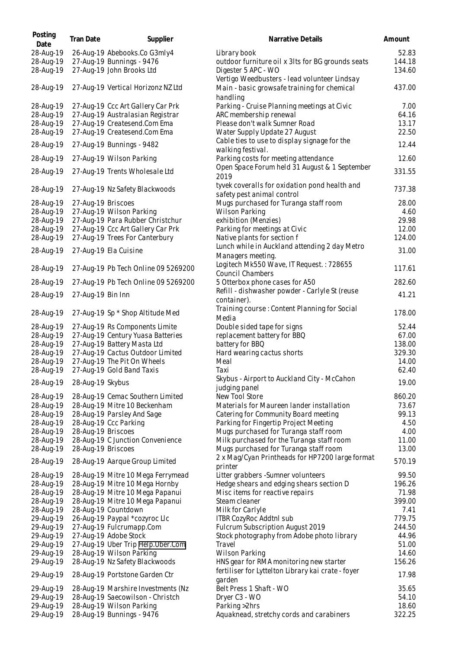| Posting<br>Date | Tran Date          | Supplier                            | Narrative Details                                                                        | Amount |
|-----------------|--------------------|-------------------------------------|------------------------------------------------------------------------------------------|--------|
| 28-Aug-19       |                    | 26-Aug-19 Abebooks.Co G3mly4        | Library book                                                                             | 52.83  |
| 28-Aug-19       |                    | 27-Aug-19 Bunnings - 9476           | outdoor furniture oil x 3lts for BG grounds seats                                        | 144.18 |
| 28-Aug-19       |                    | 27-Aug-19 John Brooks Ltd           | Digester 5 APC - WO<br>Vertigo Weedbusters - lead volunteer Lindsay                      | 134.60 |
| 28-Aug-19       |                    | 27-Aug-19 Vertical Horizonz NZ Ltd  | Main - basic growsafe training for chemical<br>handling                                  | 437.00 |
| 28-Aug-19       |                    | 27-Aug-19 Ccc Art Gallery Car Prk   | Parking - Cruise Planning meetings at Civic                                              | 7.00   |
| 28-Aug-19       |                    | 27-Aug-19 Australasian Registrar    | ARC membership renewal                                                                   | 64.16  |
| 28-Aug-19       |                    | 27-Aug-19 Createsend.Com Ema        | Please don't walk Sumner Road                                                            | 13.17  |
| 28-Aug-19       |                    | 27-Aug-19 Createsend.Com Ema        | Water Supply Update 27 August                                                            | 22.50  |
| 28-Aug-19       |                    | 27-Aug-19 Bunnings - 9482           | Cable ties to use to display signage for the<br>walking festival.                        | 12.44  |
| 28-Aug-19       |                    | 27-Aug-19 Wilson Parking            | Parking costs for meeting attendance                                                     | 12.60  |
| 28-Aug-19       |                    | 27-Aug-19 Trents Wholesale Ltd      | Open Space Forum held 31 August & 1 September<br>2019                                    | 331.55 |
| 28-Aug-19       |                    | 27-Aug-19 Nz Safety Blackwoods      | tyvek coveralls for oxidation pond health and<br>safety pest animal control              | 737.38 |
| 28-Aug-19       | 27-Aug-19 Briscoes |                                     | Mugs purchased for Turanga staff room                                                    | 28.00  |
| 28-Aug-19       |                    | 27-Aug-19 Wilson Parking            | Wilson Parking                                                                           | 4.60   |
| 28-Aug-19       |                    | 27-Aug-19 Para Rubber Christchur    | exhibition (Menzies)                                                                     | 29.98  |
| 28-Aug-19       |                    | 27-Aug-19 Ccc Art Gallery Car Prk   | Parking for meetings at Civic                                                            | 12.00  |
| 28-Aug-19       |                    | 27-Aug-19 Trees For Canterbury      | Native plants for section f                                                              | 124.00 |
|                 |                    |                                     | Lunch while in Auckland attending 2 day Metro                                            |        |
| 28-Aug-19       |                    | 27-Aug-19 Ela Cuisine               | Managers meeting.                                                                        | 31.00  |
| 28-Aug-19       |                    | 27-Aug-19 Pb Tech Online 09 5269200 | Logitech Mk550 Wave, IT Request.: 728655                                                 | 117.61 |
| 28-Aug-19       |                    | 27-Aug-19 Pb Tech Online 09 5269200 | Council Chambers<br>5 Otterbox phone cases for A50                                       | 282.60 |
| 28-Aug-19       |                    |                                     | Refill - dishwasher powder - Carlyle St (reuse                                           | 41.21  |
|                 | 27-Aug-19 Bin Inn  |                                     | container).                                                                              |        |
| 28-Aug-19       |                    | 27-Aug-19 Sp * Shop Altitude Med    | Training course: Content Planning for Social<br>Media                                    | 178.00 |
| 28-Aug-19       |                    | 27-Aug-19 Rs Components Limite      | Double sided tape for signs                                                              | 52.44  |
| 28-Aug-19       |                    | 27-Aug-19 Century Yuasa Batteries   | replacement battery for BBQ                                                              | 67.00  |
| 28-Aug-19       |                    | 27-Aug-19 Battery Masta Ltd         | battery for BBQ                                                                          | 138.00 |
| 28-Aug-19       |                    | 27-Aug-19 Cactus Outdoor Limited    | Hard wearing cactus shorts                                                               | 329.30 |
| 28-Aug-19       |                    | 27-Aug-19 The Pit On Wheels         | Meal                                                                                     | 14.00  |
| 28-Aug-19       |                    | 27-Aug-19 Gold Band Taxis           | Taxi                                                                                     | 62.40  |
| 28-Aug-19       | 28-Aug-19 Skybus   |                                     | Skybus - Airport to Auckland City - McCahon<br>judging panel                             | 19.00  |
| 28-Aug-19       |                    | 28-Aug-19 Cemac Southern Limited    | New Tool Store                                                                           | 860.20 |
| 28-Aug-19       |                    | 28-Aug-19 Mitre 10 Beckenham        | Materials for Maureen lander installation                                                | 73.67  |
| 28-Aug-19       |                    | 28-Aug-19 Parsley And Sage          | Catering for Community Board meeting                                                     | 99.13  |
| 28-Aug-19       |                    | 28-Aug-19 Ccc Parking               | Parking for Fingertip Project Meeting                                                    | 4.50   |
| 28-Aug-19       | 28-Aug-19 Briscoes |                                     | Mugs purchased for Turanga staff room                                                    | 4.00   |
| 28-Aug-19       |                    | 28-Aug-19 C Junction Convenience    | Milk purchased for the Turanga staff room                                                | 11.00  |
| 28-Aug-19       | 28-Aug-19 Briscoes |                                     | Mugs purchased for Turanga staff room<br>2 x Mag/Cyan Printheads for HP7200 large format | 13.00  |
| 28-Aug-19       |                    | 28-Aug-19 Aarque Group Limited      | printer                                                                                  | 570.19 |
| 28-Aug-19       |                    | 28-Aug-19 Mitre 10 Mega Ferrymead   | Litter grabbers - Sumner volunteers                                                      | 99.50  |
| 28-Aug-19       |                    | 28-Aug-19 Mitre 10 Mega Hornby      | Hedge shears and edging shears section D                                                 | 196.26 |
| 28-Aug-19       |                    | 28-Aug-19 Mitre 10 Mega Papanui     | Misc items for reactive repairs                                                          | 71.98  |
| 28-Aug-19       |                    | 28-Aug-19 Mitre 10 Mega Papanui     | Steam cleaner                                                                            | 399.00 |
| 28-Aug-19       |                    | 28-Aug-19 Countdown                 | Milk for Carlyle                                                                         | 7.41   |
| 29-Aug-19       |                    | 26-Aug-19 Paypal *cozyroc Llc       | <b>ITBR CozyRoc Addtnl sub</b>                                                           | 779.75 |
| 29-Aug-19       |                    | 27-Aug-19 Fulcrumapp.Com            | Fulcrum Subscription August 2019                                                         | 244.50 |
| 29-Aug-19       |                    | 27-Aug-19 Adobe Stock               | Stock photography from Adobe photo library                                               | 44.96  |
| 29-Aug-19       |                    | 27-Aug-19 Uber Trip Help.Uber.Com   | Travel                                                                                   | 51.00  |
| 29-Aug-19       |                    | 28-Aug-19 Wilson Parking            | Wilson Parking                                                                           | 14.60  |
| 29-Aug-19       |                    | 28-Aug-19 Nz Safety Blackwoods      | HNS gear for RMA monitoring new starter                                                  | 156.26 |
| 29-Aug-19       |                    | 28-Aug-19 Portstone Garden Ctr      | fertiliser for Lyttelton Library kai crate - foyer<br>garden                             | 17.98  |
| 29-Aug-19       |                    | 28-Aug-19 Marshire Investments (Nz  | Belt Press 1 Shaft - WO                                                                  | 35.65  |
| 29-Aug-19       |                    | 28-Aug-19 Saecowilson - Christch    | Dryer C3 - WO                                                                            | 54.10  |
| 29-Aug-19       |                    | 28-Aug-19 Wilson Parking            | Parking > 2hrs                                                                           | 18.60  |
| 29-Aug-19       |                    | 28-Aug-19 Bunnings - 9476           | Aquaknead, stretchy cords and carabiners                                                 | 322.25 |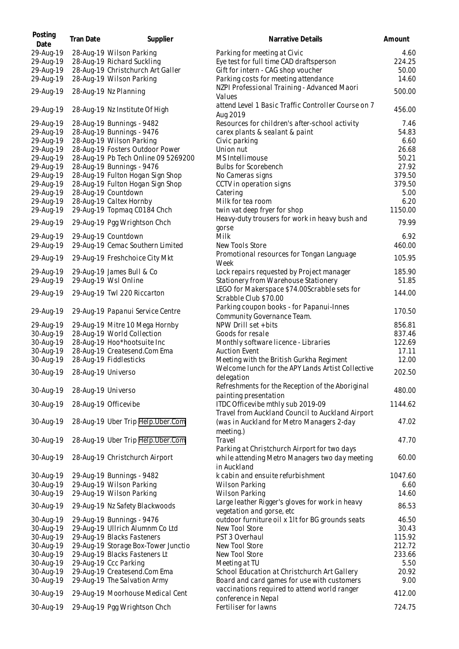| Posting<br>Date        | Tran Date          | Supplier                                                      | Narrative Details                                                                     | Amount          |
|------------------------|--------------------|---------------------------------------------------------------|---------------------------------------------------------------------------------------|-----------------|
| 29-Aug-19              |                    | 28-Aug-19 Wilson Parking                                      | Parking for meeting at Civic                                                          | 4.60            |
| 29-Aug-19              |                    | 28-Aug-19 Richard Suckling                                    | Eye test for full time CAD draftsperson                                               | 224.25          |
| 29-Aug-19              |                    | 28-Aug-19 Christchurch Art Galler                             | Gift for intern - CAG shop voucher                                                    | 50.00           |
| 29-Aug-19              |                    | 28-Aug-19 Wilson Parking                                      | Parking costs for meeting attendance                                                  | 14.60           |
| 29-Aug-19              |                    | 28-Aug-19 Nz Planning                                         | NZPI Professional Training - Advanced Maori<br>Values                                 | 500.00          |
| 29-Aug-19              |                    | 28-Aug-19 Nz Institute Of High                                | attend Level 1 Basic Traffic Controller Course on 7<br>Aug 2019                       | 456.00          |
| 29-Aug-19              |                    | 28-Aug-19 Bunnings - 9482                                     | Resources for children's after-school activity                                        | 7.46            |
| 29-Aug-19              |                    | 28-Aug-19 Bunnings - 9476                                     | carex plants & sealant & paint                                                        | 54.83           |
| 29-Aug-19              |                    | 28-Aug-19 Wilson Parking                                      | Civic parking                                                                         | 6.60            |
| 29-Aug-19              |                    | 28-Aug-19 Fosters Outdoor Power                               | Union nut                                                                             | 26.68           |
| 29-Aug-19              |                    | 28-Aug-19 Pb Tech Online 09 5269200                           | MS Intellimouse                                                                       | 50.21           |
| 29-Aug-19              |                    | 28-Aug-19 Bunnings - 9476<br>28-Aug-19 Fulton Hogan Sign Shop | <b>Bulbs for Scorebench</b>                                                           | 27.92<br>379.50 |
| 29-Aug-19<br>29-Aug-19 |                    | 28-Aug-19 Fulton Hogan Sign Shop                              | No Cameras signs<br>CCTV in operation signs                                           | 379.50          |
| 29-Aug-19              |                    | 28-Aug-19 Countdown                                           | Catering                                                                              | 5.00            |
| 29-Aug-19              |                    | 28-Aug-19 Caltex Hornby                                       | Milk for tea room                                                                     | 6.20            |
| 29-Aug-19              |                    | 29-Aug-19 Topmag C0184 Chch                                   | twin vat deep fryer for shop                                                          | 1150.00         |
|                        |                    |                                                               | Heavy-duty trousers for work in heavy bush and                                        |                 |
| 29-Aug-19              |                    | 29-Aug-19 Pgg Wrightson Chch                                  | gorse                                                                                 | 79.99           |
| 29-Aug-19              |                    | 29-Aug-19 Countdown                                           | Milk                                                                                  | 6.92            |
| 29-Aug-19              |                    | 29-Aug-19 Cemac Southern Limited                              | New Tools Store                                                                       | 460.00          |
| 29-Aug-19              |                    | 29-Aug-19 Freshchoice City Mkt                                | Promotional resources for Tongan Language<br>Week                                     | 105.95          |
| 29-Aug-19              |                    | 29-Aug-19 James Bull & Co                                     | Lock repairs requested by Project manager                                             | 185.90          |
| 29-Aug-19              |                    | 29-Aug-19 Wsl Online                                          | Stationery from Warehouse Stationery                                                  | 51.85           |
|                        |                    |                                                               | LEGO for Makerspace \$74.00Scrabble sets for                                          |                 |
| 29-Aug-19              |                    | 29-Aug-19 Twl 220 Riccarton                                   | Scrabble Club \$70.00                                                                 | 144.00          |
|                        |                    |                                                               | Parking coupon books - for Papanui-Innes                                              | 170.50          |
| 29-Aug-19              |                    | 29-Aug-19 Papanui Service Centre                              | Community Governance Team.                                                            |                 |
| 29-Aug-19              |                    | 29-Aug-19 Mitre 10 Mega Hornby                                | NPW Drill set + bits                                                                  | 856.81          |
| 30-Aug-19              |                    | 28-Aug-19 World Collection                                    | Goods for resale                                                                      | 837.46          |
| 30-Aug-19              |                    | 28-Aug-19 Hoo*hootsuite Inc                                   | Monthly software licence - Libraries                                                  | 122.69          |
| 30-Aug-19              |                    | 28-Aug-19 Createsend.Com Ema                                  | <b>Auction Event</b>                                                                  | 17.11           |
| 30-Aug-19              |                    | 28-Aug-19 Fiddlesticks                                        | Meeting with the British Gurkha Regiment                                              | 12.00           |
| 30-Aug-19              | 28-Aug-19 Universo |                                                               | Welcome lunch for the APY Lands Artist Collective<br>delegation                       | 202.50          |
| 30-Aug-19              | 28-Aug-19 Universo |                                                               | Refreshments for the Reception of the Aboriginal<br>painting presentation             | 480.00          |
| 30-Aug-19              |                    | 28-Aug-19 Officevibe                                          | ITDC Officevibe mthly sub 2019-09<br>Travel from Auckland Council to Auckland Airport | 1144.62         |
| 30-Aug-19              |                    | 28-Aug-19 Uber Trip Help.Uber.Com                             | (was in Auckland for Metro Managers 2-day                                             | 47.02           |
|                        |                    |                                                               | meeting.)                                                                             |                 |
| 30-Aug-19              |                    | 28-Aug-19 Uber Trip Help.Uber.Com                             | Travel                                                                                | 47.70           |
|                        |                    |                                                               | Parking at Christchurch Airport for two days                                          |                 |
| 30-Aug-19              |                    | 28-Aug-19 Christchurch Airport                                | while attending Metro Managers two day meeting<br>in Auckland                         | 60.00           |
| 30-Aug-19              |                    | 29-Aug-19 Bunnings - 9482                                     | k cabin and ensuite refurbishment                                                     | 1047.60         |
| 30-Aug-19              |                    | 29-Aug-19 Wilson Parking                                      | <b>Wilson Parking</b>                                                                 | 6.60            |
| 30-Aug-19              |                    | 29-Aug-19 Wilson Parking                                      | Wilson Parking                                                                        | 14.60           |
| 30-Aug-19              |                    | 29-Aug-19 Nz Safety Blackwoods                                | Large leather Rigger's gloves for work in heavy<br>vegetation and gorse, etc          | 86.53           |
| 30-Aug-19              |                    | 29-Aug-19 Bunnings - 9476                                     | outdoor furniture oil x 1lt for BG grounds seats                                      | 46.50           |
| 30-Aug-19              |                    | 29-Aug-19 Ullrich Alumnm Co Ltd                               | New Tool Store                                                                        | 30.43           |
| 30-Aug-19              |                    | 29-Aug-19 Blacks Fasteners                                    | PST 3 Overhaul                                                                        | 115.92          |
| 30-Aug-19              |                    | 29-Aug-19 Storage Box-Tower Junctio                           | New Tool Store                                                                        | 212.72          |
| 30-Aug-19              |                    | 29-Aug-19 Blacks Fasteners Lt                                 | New Tool Store                                                                        | 233.66          |
| 30-Aug-19              |                    | 29-Aug-19 Ccc Parking                                         | Meeting at TU                                                                         | 5.50            |
| 30-Aug-19              |                    | 29-Aug-19 Createsend.Com Ema                                  | School Education at Christchurch Art Gallery                                          | 20.92           |
| 30-Aug-19              |                    | 29-Aug-19 The Salvation Army                                  | Board and card games for use with customers                                           | 9.00            |
| 30-Aug-19              |                    | 29-Aug-19 Moorhouse Medical Cent                              | vaccinations required to attend world ranger                                          | 412.00          |
| 30-Aug-19              |                    | 29-Aug-19 Pgg Wrightson Chch                                  | conference in Nepal<br>Fertiliser for lawns                                           | 724.75          |
|                        |                    |                                                               |                                                                                       |                 |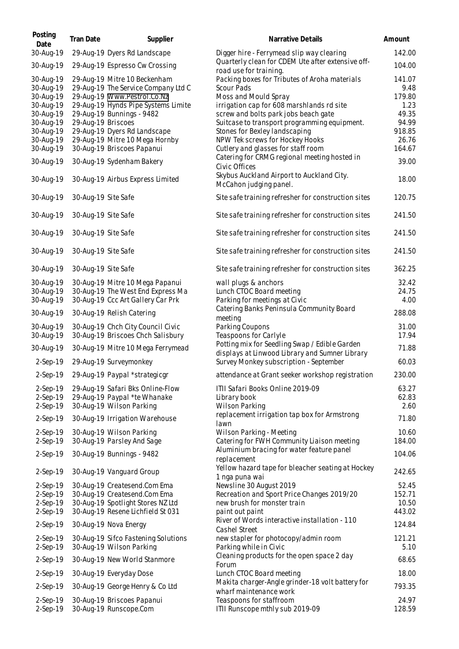| Posting                                          | Tran Date           | Supplier                                                                                                  | Narrative Details                                                                                                                                         | Amount                           |
|--------------------------------------------------|---------------------|-----------------------------------------------------------------------------------------------------------|-----------------------------------------------------------------------------------------------------------------------------------------------------------|----------------------------------|
| Date<br>30-Aug-19                                |                     | 29-Aug-19 Dyers Rd Landscape                                                                              | Digger hire - Ferrymead slip way clearing                                                                                                                 | 142.00                           |
| 30-Aug-19                                        |                     | 29-Aug-19 Espresso Cw Crossing                                                                            | Quarterly clean for CDEM Ute after extensive off-                                                                                                         | 104.00                           |
| 30-Aug-19<br>30-Aug-19                           |                     | 29-Aug-19 Mitre 10 Beckenham<br>29-Aug-19 The Service Company Ltd C                                       | road use for training.<br>Packing boxes for Tributes of Aroha materials<br>Scour Pads                                                                     | 141.07<br>9.48                   |
| 30-Aug-19<br>30-Aug-19<br>30-Aug-19<br>30-Aug-19 | 29-Aug-19 Briscoes  | 29-Aug-19 Www.Pestrol.Co.Nz<br>29-Aug-19 Hynds Pipe Systems Limite<br>29-Aug-19 Bunnings - 9482           | Moss and Mould Spray<br>irrigation cap for 608 marshlands rd site<br>screw and bolts park jobs beach gate<br>Suitcase to transport programming equipment. | 179.80<br>1.23<br>49.35<br>94.99 |
| 30-Aug-19<br>30-Aug-19<br>30-Aug-19              |                     | 29-Aug-19 Dyers Rd Landscape<br>29-Aug-19 Mitre 10 Mega Hornby<br>30-Aug-19 Briscoes Papanui              | Stones for Bexley landscaping<br>NPW Tek screws for Hockey Hooks<br>Cutlery and glasses for staff room                                                    | 918.85<br>26.76<br>164.67        |
| 30-Aug-19                                        |                     | 30-Aug-19 Sydenham Bakery                                                                                 | Catering for CRMG regional meeting hosted in<br>Civic Offices                                                                                             | 39.00                            |
| 30-Aug-19                                        |                     | 30-Aug-19 Airbus Express Limited                                                                          | Skybus Auckland Airport to Auckland City.<br>McCahon judging panel.                                                                                       | 18.00                            |
| 30-Aug-19                                        | 30-Aug-19 Site Safe |                                                                                                           | Site safe training refresher for construction sites                                                                                                       | 120.75                           |
| 30-Aug-19                                        | 30-Aug-19 Site Safe |                                                                                                           | Site safe training refresher for construction sites                                                                                                       | 241.50                           |
| 30-Aug-19                                        | 30-Aug-19 Site Safe |                                                                                                           | Site safe training refresher for construction sites                                                                                                       | 241.50                           |
| 30-Aug-19                                        | 30-Aug-19 Site Safe |                                                                                                           | Site safe training refresher for construction sites                                                                                                       | 241.50                           |
| 30-Aug-19                                        | 30-Aug-19 Site Safe |                                                                                                           | Site safe training refresher for construction sites                                                                                                       | 362.25                           |
| 30-Aug-19<br>30-Aug-19<br>30-Aug-19              |                     | 30-Aug-19 Mitre 10 Mega Papanui<br>30-Aug-19 The West End Express Ma<br>30-Aug-19 Ccc Art Gallery Car Prk | wall plugs & anchors<br>Lunch CTOC Board meeting<br>Parking for meetings at Civic                                                                         | 32.42<br>24.75<br>4.00           |
| 30-Aug-19                                        |                     | 30-Aug-19 Relish Catering                                                                                 | Catering Banks Peninsula Community Board<br>meeting                                                                                                       | 288.08                           |
| 30-Aug-19<br>30-Aug-19                           |                     | 30-Aug-19 Chch City Council Civic<br>30-Aug-19 Briscoes Chch Salisbury                                    | Parking Coupons<br>Teaspoons for Carlyle                                                                                                                  | 31.00<br>17.94                   |
| 30-Aug-19                                        |                     | 30-Aug-19 Mitre 10 Mega Ferrymead                                                                         | Potting mix for Seedling Swap / Edible Garden<br>displays at Linwood Library and Sumner Library                                                           | 71.88                            |
| $2-Sep-19$                                       |                     | 29-Aug-19 Surveymonkey                                                                                    | Survey Monkey subscription - September                                                                                                                    | 60.03                            |
|                                                  |                     | 2-Sep-19 29-Aug-19 Paypal *strategicgr                                                                    | attendance at Grant seeker workshop registration                                                                                                          | 230.00                           |
| $2-Sep-19$<br>2-Sep-19<br>2-Sep-19               |                     | 29-Aug-19 Safari Bks Online-Flow<br>29-Aug-19 Paypal *te Whanake<br>30-Aug-19 Wilson Parking              | ITII Safari Books Online 2019-09<br>Library book<br><b>Wilson Parking</b>                                                                                 | 63.27<br>62.83<br>2.60           |
| 2-Sep-19                                         |                     | 30-Aug-19 Irrigation Warehouse                                                                            | replacement irrigation tap box for Armstrong<br>lawn                                                                                                      | 71.80                            |
| $2-Sep-19$<br>2-Sep-19                           |                     | 30-Aug-19 Wilson Parking<br>30-Aug-19 Parsley And Sage                                                    | Wilson Parking - Meeting<br>Catering for FWH Community Liaison meeting                                                                                    | 10.60<br>184.00                  |
| 2-Sep-19                                         |                     | 30-Aug-19 Bunnings - 9482                                                                                 | Aluminium bracing for water feature panel<br>replacement                                                                                                  | 104.06                           |
| 2-Sep-19                                         |                     | 30-Aug-19 Vanguard Group                                                                                  | Yellow hazard tape for bleacher seating at Hockey<br>1 nga puna wai                                                                                       | 242.65                           |
| 2-Sep-19<br>2-Sep-19                             |                     | 30-Aug-19 Createsend.Com Ema<br>30-Aug-19 Createsend.Com Ema                                              | Newsline 30 August 2019<br>Recreation and Sport Price Changes 2019/20                                                                                     | 52.45<br>152.71                  |
| 2-Sep-19<br>2-Sep-19                             |                     | 30-Aug-19 Spotlight Stores NZ Ltd<br>30-Aug-19 Resene Lichfield St 031                                    | new brush for monster train<br>paint out paint                                                                                                            | 10.50<br>443.02                  |
| 2-Sep-19                                         |                     | 30-Aug-19 Nova Energy                                                                                     | River of Words interactive installation - 110<br>Cashel Street                                                                                            | 124.84                           |
| $2-Sep-19$<br>2-Sep-19                           |                     | 30-Aug-19 Sifco Fastening Solutions<br>30-Aug-19 Wilson Parking                                           | new stapler for photocopy/admin room<br>Parking while in Civic                                                                                            | 121.21<br>5.10                   |
| 2-Sep-19                                         |                     | 30-Aug-19 New World Stanmore                                                                              | Cleaning products for the open space 2 day<br>Forum                                                                                                       | 68.65                            |
| $2-Sep-19$                                       |                     | 30-Aug-19 Everyday Dose                                                                                   | Lunch CTOC Board meeting                                                                                                                                  | 18.00                            |
| 2-Sep-19                                         |                     | 30-Aug-19 George Henry & Co Ltd                                                                           | Makita charger-Angle grinder-18 volt battery for<br>wharf maintenance work                                                                                | 793.35                           |
| $2-Sep-19$<br>2-Sep-19                           |                     | 30-Aug-19 Briscoes Papanui<br>30-Aug-19 Runscope.Com                                                      | Teaspoons for staffroom<br>ITII Runscope mthly sub 2019-09                                                                                                | 24.97<br>128.59                  |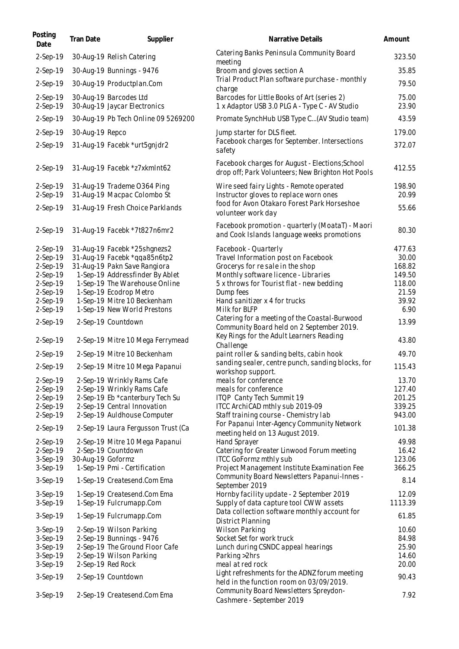| Posting<br>Date      | Tran Date         | Supplier                                                        | Narrative Details                                                                                    | Amount           |
|----------------------|-------------------|-----------------------------------------------------------------|------------------------------------------------------------------------------------------------------|------------------|
| 2-Sep-19             |                   | 30-Aug-19 Relish Catering                                       | Catering Banks Peninsula Community Board<br>meeting                                                  | 323.50           |
| $2-Sep-19$           |                   | 30-Aug-19 Bunnings - 9476                                       | Broom and gloves section A                                                                           | 35.85            |
| 2-Sep-19             |                   | 30-Aug-19 Productplan.Com                                       | Trial Product Plan software purchase - monthly<br>charge                                             | 79.50            |
| 2-Sep-19<br>2-Sep-19 |                   | 30-Aug-19 Barcodes Ltd<br>30-Aug-19 Jaycar Electronics          | Barcodes for Little Books of Art (series 2)<br>1 x Adaptor USB 3.0 PLG A - Type C - AV Studio        | 75.00<br>23.90   |
| 2-Sep-19             |                   | 30-Aug-19 Pb Tech Online 09 5269200                             | Promate SynchHub USB Type C(AV Studio team)                                                          | 43.59            |
| $2-Sep-19$           | 30-Aug-19 Repco   |                                                                 | Jump starter for DLS fleet.                                                                          | 179.00           |
| 2-Sep-19             |                   | 31-Aug-19 Facebk *urt5gnjdr2                                    | Facebook charges for September. Intersections<br>safety                                              | 372.07           |
| 2-Sep-19             |                   | 31-Aug-19 Facebk *z7xkmlnt62                                    | Facebook charges for August - Elections; School<br>drop off; Park Volunteers; New Brighton Hot Pools | 412.55           |
| 2-Sep-19<br>2-Sep-19 |                   | 31-Aug-19 Trademe O364 Ping<br>31-Aug-19 Macpac Colombo St      | Wire seed fairy Lights - Remote operated<br>Instructor gloves to replace worn ones                   | 198.90<br>20.99  |
| 2-Sep-19             |                   | 31-Aug-19 Fresh Choice Parklands                                | food for Avon Otakaro Forest Park Horseshoe<br>volunteer work day                                    | 55.66            |
| 2-Sep-19             |                   | 31-Aug-19 Facebk *7t827n6mr2                                    | Facebook promotion - quarterly (MoataT) - Maori<br>and Cook Islands language weeks promotions        | 80.30            |
| 2-Sep-19             |                   | 31-Aug-19 Facebk *25shgnezs2                                    | Facebook - Quarterly                                                                                 | 477.63           |
| 2-Sep-19             |                   | 31-Aug-19 Facebk *qqa85n6tp2                                    | Travel Information post on Facebook                                                                  | 30.00            |
| 2-Sep-19<br>2-Sep-19 |                   | 31-Aug-19 Pakn Save Rangiora<br>1-Sep-19 Addressfinder By Ablet | Grocerys for re sale in the shop<br>Monthly software licence - Libraries                             | 168.82<br>149.50 |
| 2-Sep-19             |                   | 1-Sep-19 The Warehouse Online                                   | 5 x throws for Tourist flat - new bedding                                                            | 118.00           |
| 2-Sep-19             |                   | 1-Sep-19 Ecodrop Metro                                          | Dump fees                                                                                            | 21.59            |
| 2-Sep-19             |                   | 1-Sep-19 Mitre 10 Beckenham                                     | Hand sanitizer x 4 for trucks                                                                        | 39.92            |
| 2-Sep-19             |                   | 1-Sep-19 New World Prestons                                     | Milk for BLFP                                                                                        | 6.90             |
| 2-Sep-19             |                   | 2-Sep-19 Countdown                                              | Catering for a meeting of the Coastal-Burwood<br>Community Board held on 2 September 2019.           | 13.99            |
| 2-Sep-19             |                   | 2-Sep-19 Mitre 10 Mega Ferrymead                                | Key Rings for the Adult Learners Reading<br>Challenge                                                | 43.80            |
| $2-Sep-19$           |                   | 2-Sep-19 Mitre 10 Beckenham                                     | paint roller & sanding belts, cabin hook                                                             | 49.70            |
| 2-Sep-19             |                   | 2-Sep-19 Mitre 10 Mega Papanui                                  | sanding sealer, centre punch, sanding blocks, for<br>workshop support.                               | 115.43           |
| $2-Sep-19$           |                   | 2-Sep-19 Wrinkly Rams Cafe                                      | meals for conference                                                                                 | 13.70            |
| 2-Sep-19             |                   | 2-Sep-19 Wrinkly Rams Cafe                                      | meals for conference                                                                                 | 127.40           |
| 2-Sep-19             |                   | 2-Sep-19 Eb *canterbury Tech Su                                 | ITQP Canty Tech Summit 19                                                                            | 201.25           |
| 2-Sep-19             |                   | 2-Sep-19 Central Innovation<br>2-Sep-19 Auldhouse Computer      | ITCC ArchiCAD mthly sub 2019-09                                                                      | 339.25           |
| 2-Sep-19<br>2-Sep-19 |                   | 2-Sep-19 Laura Fergusson Trust (Ca                              | Staff training course - Chemistry lab<br>For Papanui Inter-Agency Community Network                  | 943.00<br>101.38 |
| 2-Sep-19             |                   | 2-Sep-19 Mitre 10 Mega Papanui                                  | meeting held on 13 August 2019.<br>Hand Sprayer                                                      | 49.98            |
| 2-Sep-19             |                   | 2-Sep-19 Countdown                                              | Catering for Greater Linwood Forum meeting                                                           | 16.42            |
| 3-Sep-19             | 30-Aug-19 Goformz |                                                                 | <b>ITCC GoFormz mthly sub</b>                                                                        | 123.06           |
| 3-Sep-19             |                   | 1-Sep-19 Pmi - Certification                                    | Project Management Institute Examination Fee                                                         | 366.25           |
| 3-Sep-19             |                   | 1-Sep-19 Createsend.Com Ema                                     | Community Board Newsletters Papanui-Innes -<br>September 2019                                        | 8.14             |
| $3-Sep-19$           |                   | 1-Sep-19 Createsend.Com Ema                                     | Hornby facility update - 2 September 2019                                                            | 12.09            |
| 3-Sep-19             |                   | 1-Sep-19 Fulcrumapp.Com                                         | Supply of data capture tool CWW assets                                                               | 1113.39          |
| 3-Sep-19             |                   | 1-Sep-19 Fulcrumapp.Com                                         | Data collection software monthly account for<br>District Planning                                    | 61.85            |
| $3-Sep-19$           |                   | 2-Sep-19 Wilson Parking                                         | <b>Wilson Parking</b>                                                                                | 10.60            |
| 3-Sep-19             |                   | 2-Sep-19 Bunnings - 9476                                        | Socket Set for work truck                                                                            | 84.98            |
| 3-Sep-19             |                   | 2-Sep-19 The Ground Floor Cafe                                  | Lunch during CSNDC appeal hearings                                                                   | 25.90            |
| 3-Sep-19             |                   | 2-Sep-19 Wilson Parking                                         | Parking > 2hrs                                                                                       | 14.60            |
| 3-Sep-19             |                   | 2-Sep-19 Red Rock                                               | meal at red rock<br>Light refreshments for the ADNZ forum meeting                                    | 20.00            |
| 3-Sep-19             |                   | 2-Sep-19 Countdown                                              | held in the function room on 03/09/2019.<br>Community Board Newsletters Spreydon-                    | 90.43            |
| 3-Sep-19             |                   | 2-Sep-19 Createsend.Com Ema                                     | Cashmere - September 2019                                                                            | 7.92             |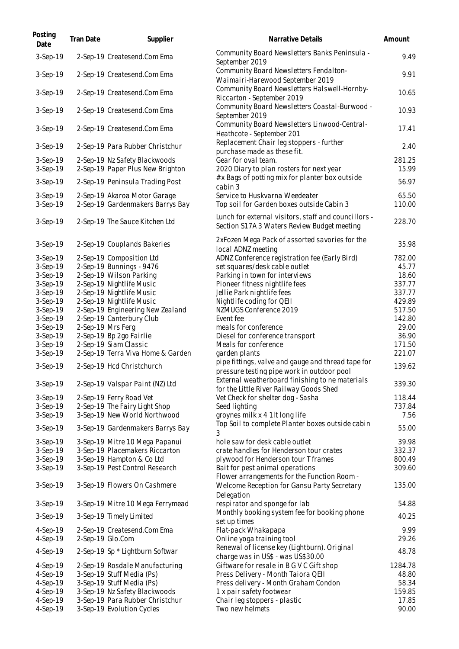| Posting<br>Date        | Tran Date | Supplier                                                          | Narrative Details                                                                                   | Amount           |
|------------------------|-----------|-------------------------------------------------------------------|-----------------------------------------------------------------------------------------------------|------------------|
| 3-Sep-19               |           | 2-Sep-19 Createsend.Com Ema                                       | Community Board Newsletters Banks Peninsula -<br>September 2019                                     | 9.49             |
| 3-Sep-19               |           | 2-Sep-19 Createsend.Com Ema                                       | Community Board Newsletters Fendalton-<br>Waimairi-Harewood September 2019                          | 9.91             |
| 3-Sep-19               |           | 2-Sep-19 Createsend.Com Ema                                       | Community Board Newsletters Halswell-Hornby-<br>Riccarton - September 2019                          | 10.65            |
| 3-Sep-19               |           | 2-Sep-19 Createsend.Com Ema                                       | Community Board Newsletters Coastal-Burwood -<br>September 2019                                     | 10.93            |
| 3-Sep-19               |           | 2-Sep-19 Createsend.Com Ema                                       | Community Board Newsletters Linwood-Central-<br>Heathcote - September 201                           | 17.41            |
| 3-Sep-19               |           | 2-Sep-19 Para Rubber Christchur                                   | Replacement Chair leg stoppers - further<br>purchase made as these fit.                             | 2.40             |
| 3-Sep-19<br>3-Sep-19   |           | 2-Sep-19 Nz Safety Blackwoods<br>2-Sep-19 Paper Plus New Brighton | Gear for oval team.<br>2020 Diary to plan rosters for next year                                     | 281.25<br>15.99  |
| 3-Sep-19               |           | 2-Sep-19 Peninsula Trading Post                                   | # x Bags of potting mix for planter box outside<br>cabin 3                                          | 56.97            |
| 3-Sep-19<br>3-Sep-19   |           | 2-Sep-19 Akaroa Motor Garage<br>2-Sep-19 Gardenmakers Barrys Bay  | Service to Huskvarna Weedeater<br>Top soil for Garden boxes outside Cabin 3                         | 65.50<br>110.00  |
| 3-Sep-19               |           | 2-Sep-19 The Sauce Kitchen Ltd                                    | Lunch for external visitors, staff and councillors -<br>Section S17A 3 Waters Review Budget meeting | 228.70           |
| 3-Sep-19               |           | 2-Sep-19 Couplands Bakeries                                       | 2xFozen Mega Pack of assorted savories for the<br>local ADNZ meeting                                | 35.98            |
| 3-Sep-19               |           | 2-Sep-19 Composition Ltd                                          | ADNZ Conference registration fee (Early Bird)                                                       | 782.00           |
| 3-Sep-19               |           | 2-Sep-19 Bunnings - 9476                                          | set squares/desk cable outlet                                                                       | 45.77            |
| 3-Sep-19               |           | 2-Sep-19 Wilson Parking                                           | Parking in town for interviews                                                                      | 18.60            |
| 3-Sep-19               |           | 2-Sep-19 Nightlife Music                                          | Pioneer fitness nightlife fees                                                                      | 337.77           |
| 3-Sep-19               |           | 2-Sep-19 Nightlife Music                                          | Jellie Park nightlife fees                                                                          | 337.77           |
| 3-Sep-19               |           | 2-Sep-19 Nightlife Music                                          | Nightlife coding for QEII                                                                           | 429.89           |
| 3-Sep-19               |           | 2-Sep-19 Engineering New Zealand                                  | NZMUGS Conference 2019                                                                              | 517.50           |
| 3-Sep-19               |           | 2-Sep-19 Canterbury Club                                          | Event fee                                                                                           | 142.80           |
| $3-Sep-19$             |           | 2-Sep-19 Mrs Ferg                                                 | meals for conference                                                                                | 29.00            |
| 3-Sep-19               |           | 2-Sep-19 Bp 2go Fairlie<br>2-Sep-19 Siam Classic                  | Diesel for conference transport                                                                     | 36.90            |
| 3-Sep-19<br>$3-Sep-19$ |           |                                                                   | Meals for conference<br>garden plants                                                               | 171.50<br>221.07 |
|                        |           | 2-Sep-19 Terra Viva Home & Garden                                 | pipe fittings, valve and gauge and thread tape for                                                  |                  |
| 3-Sep-19               |           | 2-Sep-19 Hcd Christchurch                                         | pressure testing pipe work in outdoor pool                                                          | 139.62           |
| 3-Sep-19               |           | 2-Sep-19 Valspar Paint (NZ) Ltd                                   | External weatherboard finishing to ne materials<br>for the Little River Railway Goods Shed          | 339.30           |
| $3-Sep-19$             |           | 2-Sep-19 Ferry Road Vet                                           | Vet Check for shelter dog - Sasha                                                                   | 118.44           |
| 3-Sep-19               |           | 2-Sep-19 The Fairy Light Shop                                     | Seed lighting                                                                                       | 737.84           |
| 3-Sep-19               |           | 3-Sep-19 New World Northwood                                      | groynes milk x 4 1lt long life                                                                      | 7.56             |
| 3-Sep-19               |           | 3-Sep-19 Gardenmakers Barrys Bay                                  | Top Soil to complete Planter boxes outside cabin<br>3                                               | 55.00            |
| 3-Sep-19               |           | 3-Sep-19 Mitre 10 Mega Papanui                                    | hole saw for desk cable outlet                                                                      | 39.98            |
| 3-Sep-19               |           | 3-Sep-19 Placemakers Riccarton                                    | crate handles for Henderson tour crates                                                             | 332.37           |
| 3-Sep-19               |           | 3-Sep-19 Hampton & Co Ltd                                         | plywood for Henderson tour T frames                                                                 | 800.49           |
| $3-Sep-19$             |           | 3-Sep-19 Pest Control Research                                    | Bait for pest animal operations<br>Flower arrangements for the Function Room -                      | 309.60           |
| 3-Sep-19               |           | 3-Sep-19 Flowers On Cashmere                                      | Welcome Reception for Gansu Party Secretary<br>Delegation                                           | 135.00           |
| 3-Sep-19               |           | 3-Sep-19 Mitre 10 Mega Ferrymead                                  | respirator and sponge for lab<br>Monthly booking system fee for booking phone                       | 54.88            |
| 3-Sep-19               |           | 3-Sep-19 Timely Limited                                           | set up times                                                                                        | 40.25            |
| $4-Sep-19$             |           | 2-Sep-19 Createsend.Com Ema                                       | Flat-pack Whakapapa                                                                                 | 9.99             |
| 4-Sep-19               |           | 2-Sep-19 Glo.Com                                                  | Online yoga training tool                                                                           | 29.26            |
| 4-Sep-19               |           | 2-Sep-19 Sp * Lightburn Softwar                                   | Renewal of license key (Lightburn). Original<br>charge was in US\$ - was US\$30.00                  | 48.78            |
| $4-Sep-19$             |           | 2-Sep-19 Rosdale Manufacturing                                    | Giftware for resale in B G V C Gift shop                                                            | 1284.78          |
| 4-Sep-19               |           | 3-Sep-19 Stuff Media (Ps)                                         | Press Delivery - Month Taiora QEII                                                                  | 48.80            |
| 4-Sep-19               |           | 3-Sep-19 Stuff Media (Ps)                                         | Press delivery - Month Graham Condon                                                                | 58.34            |
| 4-Sep-19               |           | 3-Sep-19 Nz Safety Blackwoods                                     | 1 x pair safety footwear                                                                            | 159.85           |
| 4-Sep-19               |           | 3-Sep-19 Para Rubber Christchur                                   | Chair leg stoppers - plastic                                                                        | 17.85            |
| 4-Sep-19               |           | 3-Sep-19 Evolution Cycles                                         | Two new helmets                                                                                     | 90.00            |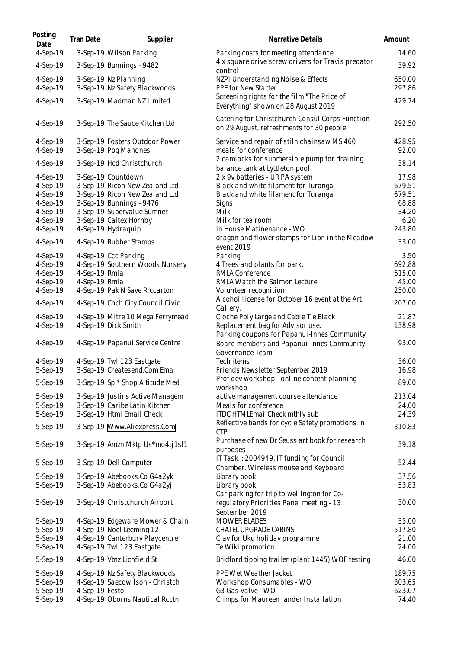| Posting<br>Date        | Tran Date      | Supplier                                                    | Narrative Details                                                                           | Amount           |
|------------------------|----------------|-------------------------------------------------------------|---------------------------------------------------------------------------------------------|------------------|
| 4-Sep-19               |                | 3-Sep-19 Wilson Parking                                     | Parking costs for meeting attendance<br>4 x square drive screw drivers for Travis predator  | 14.60            |
| 4-Sep-19               |                | 3-Sep-19 Bunnings - 9482                                    | control                                                                                     | 39.92            |
| 4-Sep-19<br>4-Sep-19   |                | 3-Sep-19 Nz Planning<br>3-Sep-19 Nz Safety Blackwoods       | NZPI Understanding Noise & Effects<br>PPE for New Starter                                   | 650.00<br>297.86 |
| 4-Sep-19               |                | 3-Sep-19 Madman NZ Limited                                  | Screening rights for the film "The Price of<br>Everything" shown on 28 August 2019          | 429.74           |
| 4-Sep-19               |                | 3-Sep-19 The Sauce Kitchen Ltd                              | Catering for Christchurch Consul Corps Function<br>on 29 August, refreshments for 30 people | 292.50           |
| $4-Sep-19$<br>4-Sep-19 |                | 3-Sep-19 Fosters Outdoor Power<br>3-Sep-19 Pog Mahones      | Service and repair of stilh chainsaw MS 460<br>meals for conference                         | 428.95<br>92.00  |
| 4-Sep-19               |                | 3-Sep-19 Hcd Christchurch                                   | 2 camlocks for submersible pump for draining<br>balance tank at Lyttleton pool              | 38.14            |
| 4-Sep-19               |                | 3-Sep-19 Countdown                                          | 2 x 9 v batteries - UR PA system                                                            | 17.98            |
| 4-Sep-19               |                | 3-Sep-19 Ricoh New Zealand Ltd                              | Black and white filament for Turanga                                                        | 679.51           |
| 4-Sep-19               |                | 3-Sep-19 Ricoh New Zealand Ltd                              | Black and white filament for Turanga                                                        | 679.51           |
| $4-Sep-19$             |                | 3-Sep-19 Bunnings - 9476                                    | Signs                                                                                       | 68.88            |
| 4-Sep-19               |                | 3-Sep-19 Supervalue Sumner                                  | Milk                                                                                        | 34.20            |
| $4-Sep-19$             |                | 3-Sep-19 Caltex Hornby                                      | Milk for tea room                                                                           | 6.20             |
| $4-Sep-19$             |                | 4-Sep-19 Hydraquip                                          | In House Matinenance - WO                                                                   | 243.80           |
| 4-Sep-19               |                | 4-Sep-19 Rubber Stamps                                      | dragon and flower stamps for Lion in the Meadow<br>event 2019                               | 33.00            |
| $4-Sep-19$             |                | 4-Sep-19 Ccc Parking                                        | Parking                                                                                     | 3.50             |
| 4-Sep-19               |                | 4-Sep-19 Southern Woods Nursery                             | 4 Trees and plants for park.                                                                | 692.88           |
| 4-Sep-19               | 4-Sep-19 Rmla  |                                                             | RMLA Conference                                                                             | 615.00<br>45.00  |
| 4-Sep-19<br>4-Sep-19   | 4-Sep-19 Rmla  | 4-Sep-19 Pak N Save Riccarton                               | RMLA Watch the Salmon Lecture<br>Volunteer recognition                                      | 250.00           |
| 4-Sep-19               |                | 4-Sep-19 Chch City Council Civic                            | Alcohol license for October 16 event at the Art<br>Gallery.                                 | 207.00           |
| $4-Sep-19$             |                | 4-Sep-19 Mitre 10 Mega Ferrymead                            | Cloche Poly Large and Cable Tie Black                                                       | 21.87            |
| 4-Sep-19               |                | 4-Sep-19 Dick Smith                                         | Replacement bag for Advisor use.<br>Parking coupons for Papanui-Innes Community             | 138.98           |
| 4-Sep-19               |                | 4-Sep-19 Papanui Service Centre                             | Board members and Papanui-Innes Community<br>Governance Team                                | 93.00            |
| 4-Sep-19               |                | 4-Sep-19 Twl 123 Eastgate                                   | Tech items                                                                                  | 36.00            |
| 5-Sep-19               |                | 3-Sep-19 Createsend.Com Ema                                 | Friends Newsletter September 2019                                                           | 16.98            |
| 5-Sep-19               |                | 3-Sep-19 Sp * Shop Altitude Med                             | Prof dev workshop - online content planning<br>workshop                                     | 89.00            |
| 5-Sep-19               |                | 3-Sep-19 Justins Active Managem                             | active management course attendance                                                         | 213.04           |
| 5-Sep-19               |                | 3-Sep-19 Caribe Latin Kitchen                               | Meals for conference                                                                        | 24.00            |
| 5-Sep-19               |                | 3-Sep-19 Html Email Check                                   | ITDC HTMLEmailCheck mthly sub                                                               | 24.39            |
| 5-Sep-19               |                | 3-Sep-19 Www.Aliexpress.Com                                 | Reflective bands for cycle Safety promotions in<br><b>CTP</b>                               | 310.83           |
| 5-Sep-19               |                | 3-Sep-19 Amzn Mktp Us*mo4tj1sl1                             | Purchase of new Dr Seuss art book for research<br>purposes                                  | 39.18            |
| 5-Sep-19               |                | 3-Sep-19 Dell Computer                                      | IT Task.: 2004949, IT funding for Council<br>Chamber. Wireless mouse and Keyboard           | 52.44            |
| 5-Sep-19               |                | 3-Sep-19 Abebooks.Co G4a2yk                                 | Library book                                                                                | 37.56            |
| 5-Sep-19               |                | 3-Sep-19 Abebooks.Co G4a2yj                                 | Library book                                                                                | 53.83            |
|                        |                |                                                             | Car parking for trip to wellington for Co-                                                  |                  |
| 5-Sep-19               |                | 3-Sep-19 Christchurch Airport                               | regulatory Priorities Panel meeting - 13<br>September 2019                                  | 30.00            |
| 5-Sep-19               |                | 4-Sep-19 Edgeware Mower & Chain                             | <b>MOWER BLADES</b>                                                                         | 35.00            |
| 5-Sep-19               |                | 4-Sep-19 Noel Leeming 12                                    | CHATEL UPGRADE CABINS                                                                       | 517.80           |
| 5-Sep-19<br>5-Sep-19   |                | 4-Sep-19 Canterbury Playcentre<br>4-Sep-19 Twl 123 Eastgate | Clay for Uku holiday programme<br>Te Wiki promotion                                         | 21.00<br>24.00   |
| 5-Sep-19               |                | 4-Sep-19 Vtnz Lichfield St                                  | Bridford tipping trailer (plant 1445) WOF testing                                           | 46.00            |
| 5-Sep-19               |                | 4-Sep-19 Nz Safety Blackwoods                               | PPE Wet Weather Jacket                                                                      | 189.75           |
| 5-Sep-19               |                | 4-Sep-19 Saecowilson - Christch                             | Workshop Consumables - WO                                                                   | 303.65           |
| 5-Sep-19               | 4-Sep-19 Festo |                                                             | G3 Gas Valve - WO                                                                           | 623.07           |
| 5-Sep-19               |                | 4-Sep-19 Oborns Nautical Rcctn                              | Crimps for Maureen lander Installation                                                      | 74.40            |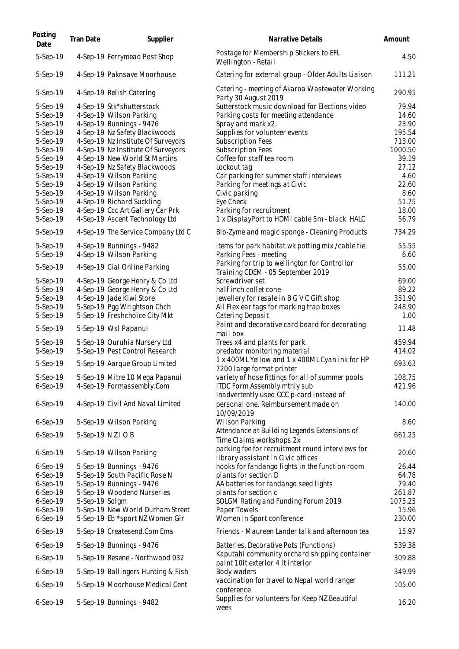| Posting<br>Date          | Tran Date      | Supplier                                                            | Narrative Details                                                                      | Amount            |
|--------------------------|----------------|---------------------------------------------------------------------|----------------------------------------------------------------------------------------|-------------------|
| 5-Sep-19                 |                | 4-Sep-19 Ferrymead Post Shop                                        | Postage for Membership Stickers to EFL<br>Wellington - Retail                          | 4.50              |
| 5-Sep-19                 |                | 4-Sep-19 Paknsave Moorhouse                                         | Catering for external group - Older Adults Liaison                                     | 111.21            |
| 5-Sep-19                 |                | 4-Sep-19 Relish Catering                                            | Catering - meeting of Akaroa Wastewater Working<br>Party 30 August 2019                | 290.95            |
| $5-Sep-19$               |                | 4-Sep-19 Stk*shutterstock                                           | Sutterstock music download for Elections video                                         | 79.94             |
| 5-Sep-19                 |                | 4-Sep-19 Wilson Parking                                             | Parking costs for meeting attendance                                                   | 14.60             |
| 5-Sep-19                 |                | 4-Sep-19 Bunnings - 9476                                            | Spray and mark x2.                                                                     | 23.90             |
| 5-Sep-19<br>5-Sep-19     |                | 4-Sep-19 Nz Safety Blackwoods<br>4-Sep-19 Nz Institute Of Surveyors | Supplies for volunteer events<br>Subscription Fees                                     | 195.54<br>713.00  |
| 5-Sep-19                 |                | 4-Sep-19 Nz Institute Of Surveyors                                  | Subscription Fees                                                                      | 1000.50           |
| 5-Sep-19                 |                | 4-Sep-19 New World St Martins                                       | Coffee for staff tea room                                                              | 39.19             |
| 5-Sep-19                 |                | 4-Sep-19 Nz Safety Blackwoods                                       | Lockout tag                                                                            | 27.12             |
| 5-Sep-19                 |                | 4-Sep-19 Wilson Parking                                             | Car parking for summer staff interviews                                                | 4.60              |
| 5-Sep-19                 |                | 4-Sep-19 Wilson Parking                                             | Parking for meetings at Civic                                                          | 22.60             |
| 5-Sep-19                 |                | 4-Sep-19 Wilson Parking                                             | Civic parking                                                                          | 8.60              |
| 5-Sep-19<br>5-Sep-19     |                | 4-Sep-19 Richard Suckling<br>4-Sep-19 Ccc Art Gallery Car Prk       | Eye Check<br>Parking for recruitment                                                   | 51.75<br>18.00    |
| 5-Sep-19                 |                | 4-Sep-19 Ascent Technology Ltd                                      | 1 x DisplayPort to HDMI cable 5m - black HALC                                          | 56.79             |
| 5-Sep-19                 |                | 4-Sep-19 The Service Company Ltd C                                  | Bio-Zyme and magic sponge - Cleaning Products                                          | 734.29            |
| 5-Sep-19                 |                | 4-Sep-19 Bunnings - 9482                                            | items for park habitat wk potting mix / cable tie                                      | 55.55             |
| 5-Sep-19                 |                | 4-Sep-19 Wilson Parking                                             | Parking Fees - meeting                                                                 | 6.60              |
| 5-Sep-19                 |                | 4-Sep-19 Cial Online Parking                                        | Parking for trip to wellington for Controllor<br>Training CDEM - 05 September 2019     | 55.00             |
| 5-Sep-19                 |                | 4-Sep-19 George Henry & Co Ltd                                      | Screwdriver set                                                                        | 69.00             |
| 5-Sep-19                 |                | 4-Sep-19 George Henry & Co Ltd                                      | half inch collet cone                                                                  | 89.22             |
| 5-Sep-19                 |                | 4-Sep-19 Jade Kiwi Store                                            | Jewellery for resale in B G V C Gift shop                                              | 351.90            |
| 5-Sep-19<br>5-Sep-19     |                | 5-Sep-19 Pgg Wrightson Chch<br>5-Sep-19 Freshchoice City Mkt        | All Flex ear tags for marking trap boxes<br>Catering Deposit                           | 248.90<br>1.00    |
| 5-Sep-19                 |                | 5-Sep-19 Wsl Papanui                                                | Paint and decorative card board for decorating                                         | 11.48             |
|                          |                |                                                                     | mail box                                                                               |                   |
| 5-Sep-19                 |                | 5-Sep-19 Ouruhia Nursery Ltd                                        | Trees x4 and plants for park.                                                          | 459.94            |
| 5-Sep-19                 |                | 5-Sep-19 Pest Control Research                                      | predator monitoring material<br>1 x 400ML Yellow and 1 x 400ML Cyan ink for HP         | 414.02            |
| 5-Sep-19                 |                | 5-Sep-19 Aarque Group Limited                                       | 7200 large format printer                                                              | 693.63            |
| 5-Sep-19                 |                | 5-Sep-19 Mitre 10 Mega Papanui                                      | variety of hose fittings for all of summer pools                                       | 108.75            |
| $6-Sep-19$               |                | 4-Sep-19 Formassembly.Com                                           | <b>ITDC Form Assembly mthly sub</b>                                                    | 421.96            |
| $6-Sep-19$               |                | 4-Sep-19 Civil And Naval Limited                                    | Inadvertently used CCC p-card instead of<br>personal one. Reimbursement made on        | 140.00            |
|                          |                |                                                                     | 10/09/2019                                                                             |                   |
| $6-Sep-19$               |                | 5-Sep-19 Wilson Parking                                             | Wilson Parking                                                                         | 8.60              |
| $6-Sep-19$               |                | 5-Sep-19 NZIOB                                                      | Attendance at Building Legends Extensions of<br>Time Claims workshops 2x               | 661.25            |
| $6-Sep-19$               |                | 5-Sep-19 Wilson Parking                                             | parking fee for recruitment round interviews for<br>library assistant in Civic offices | 20.60             |
| $6-Sep-19$               |                | 5-Sep-19 Bunnings - 9476                                            | hooks for fandango lights in the function room                                         | 26.44             |
| $6-Sep-19$               |                | 5-Sep-19 South Pacific Rose N                                       | plants for section D                                                                   | 64.78             |
| $6-Sep-19$               |                | 5-Sep-19 Bunnings - 9476                                            | AA batteries for fandango seed lights                                                  | 79.40             |
| $6-Sep-19$<br>$6-Sep-19$ | 5-Sep-19 Solgm | 5-Sep-19 Woodend Nurseries                                          | plants for section c<br>SOLGM Rating and Funding Forum 2019                            | 261.87<br>1075.25 |
| $6-Sep-19$               |                | 5-Sep-19 New World Durham Street                                    | Paper Towels                                                                           | 15.96             |
| $6-Sep-19$               |                | 5-Sep-19 Eb *sport NZ Women Gir                                     | Women in Sport conference                                                              | 230.00            |
| $6-Sep-19$               |                | 5-Sep-19 Createsend.Com Ema                                         | Friends - Maureen Lander talk and afternoon tea                                        | 15.97             |
| $6-Sep-19$               |                | 5-Sep-19 Bunnings - 9476                                            | Batteries, Decorative Pots (Functions)                                                 | 539.38            |
| $6-Sep-19$               |                | 5-Sep-19 Resene - Northwood 032                                     | Kaputahi community orchard shipping container<br>paint 10It exterior 4 It interior     | 309.88            |
| $6-Sep-19$               |                | 5-Sep-19 Ballingers Hunting & Fish                                  | Body waders                                                                            | 349.99            |
| $6-Sep-19$               |                | 5-Sep-19 Moorhouse Medical Cent                                     | vaccination for travel to Nepal world ranger<br>conference                             | 105.00            |
| 6-Sep-19                 |                | 5-Sep-19 Bunnings - 9482                                            | Supplies for volunteers for Keep NZ Beautiful<br>week                                  | 16.20             |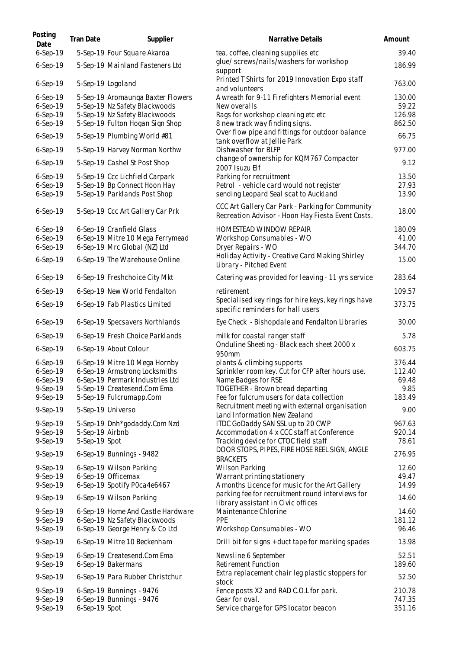| Posting<br>Date                                              | Tran Date                        | Supplier                                                                                                                                                    | Narrative Details                                                                                                                                                                      | Amount                                      |
|--------------------------------------------------------------|----------------------------------|-------------------------------------------------------------------------------------------------------------------------------------------------------------|----------------------------------------------------------------------------------------------------------------------------------------------------------------------------------------|---------------------------------------------|
| 6-Sep-19                                                     |                                  | 5-Sep-19 Four Square Akaroa                                                                                                                                 | tea, coffee, cleaning supplies etc                                                                                                                                                     | 39.40                                       |
| $6-Sep-19$                                                   |                                  | 5-Sep-19 Mainland Fasteners Ltd                                                                                                                             | glue/screws/nails/washers for workshop<br>support                                                                                                                                      | 186.99                                      |
| $6-Sep-19$                                                   |                                  | 5-Sep-19 Logoland                                                                                                                                           | Printed T Shirts for 2019 Innovation Expo staff<br>and volunteers                                                                                                                      | 763.00                                      |
| $6-Sep-19$<br>$6-Sep-19$<br>$6-Sep-19$<br>$6-Sep-19$         |                                  | 5-Sep-19 Aromaunga Baxter Flowers<br>5-Sep-19 Nz Safety Blackwoods<br>5-Sep-19 Nz Safety Blackwoods<br>5-Sep-19 Fulton Hogan Sign Shop                      | A wreath for 9-11 Firefighters Memorial event<br>New overalls<br>Rags for workshop cleaning etc etc<br>8 new track way finding signs.                                                  | 130.00<br>59.22<br>126.98<br>862.50         |
| 6-Sep-19                                                     |                                  | 5-Sep-19 Plumbing World #81                                                                                                                                 | Over flow pipe and fittings for outdoor balance<br>tank overflow at Jellie Park                                                                                                        | 66.75                                       |
| $6-Sep-19$                                                   |                                  | 5-Sep-19 Harvey Norman Northw                                                                                                                               | Dishwasher for BLFP                                                                                                                                                                    | 977.00                                      |
| 6-Sep-19                                                     |                                  | 5-Sep-19 Cashel St Post Shop                                                                                                                                | change of ownership for KQM767 Compactor<br>2007 Isuzu Elf                                                                                                                             | 9.12                                        |
| $6-Sep-19$<br>$6-Sep-19$<br>$6-Sep-19$                       |                                  | 5-Sep-19 Ccc Lichfield Carpark<br>5-Sep-19 Bp Connect Hoon Hay<br>5-Sep-19 Parklands Post Shop                                                              | Parking for recruitment<br>Petrol - vehicle card would not register<br>sending Leopard Seal scat to Auckland                                                                           | 13.50<br>27.93<br>13.90                     |
| 6-Sep-19                                                     |                                  | 5-Sep-19 Ccc Art Gallery Car Prk                                                                                                                            | CCC Art Gallery Car Park - Parking for Community<br>Recreation Advisor - Hoon Hay Fiesta Event Costs.                                                                                  | 18.00                                       |
| $6-Sep-19$<br>$6-Sep-19$<br>$6-Sep-19$<br>6-Sep-19           |                                  | 6-Sep-19 Cranfield Glass<br>6-Sep-19 Mitre 10 Mega Ferrymead<br>6-Sep-19 Mrc Global (NZ) Ltd<br>6-Sep-19 The Warehouse Online                               | HOMESTEAD WINDOW REPAIR<br>Workshop Consumables - WO<br>Dryer Repairs - WO<br>Holiday Activity - Creative Card Making Shirley<br>Library - Pitched Event                               | 180.09<br>41.00<br>344.70<br>15.00          |
| $6-Sep-19$                                                   |                                  | 6-Sep-19 Freshchoice City Mkt                                                                                                                               | Catering was provided for leaving - 11 yrs service                                                                                                                                     | 283.64                                      |
| $6-Sep-19$                                                   |                                  | 6-Sep-19 New World Fendalton                                                                                                                                | retirement                                                                                                                                                                             | 109.57                                      |
| 6-Sep-19                                                     |                                  | 6-Sep-19 Fab Plastics Limited                                                                                                                               | Specialised key rings for hire keys, key rings have<br>specific reminders for hall users                                                                                               | 373.75                                      |
| 6-Sep-19                                                     |                                  | 6-Sep-19 Specsavers Northlands                                                                                                                              | Eye Check - Bishopdale and Fendalton Libraries                                                                                                                                         | 30.00                                       |
| $6-Sep-19$                                                   |                                  | 6-Sep-19 Fresh Choice Parklands                                                                                                                             | milk for coastal ranger staff                                                                                                                                                          | 5.78                                        |
| 6-Sep-19                                                     |                                  | 6-Sep-19 About Colour                                                                                                                                       | Onduline Sheeting - Black each sheet 2000 x<br>950mm                                                                                                                                   | 603.75                                      |
| 6-Sep-19<br>$6-Sep-19$<br>$6-Sep-19$<br>9-Sep-19<br>9-Sep-19 |                                  | 6-Sep-19 Mitre 10 Mega Hornby<br>6-Sep-19 Armstrong Locksmiths<br>6-Sep-19 Permark Industries Ltd<br>5-Sep-19 Createsend.Com Ema<br>5-Sep-19 Fulcrumapp.Com | plants & climbing supports<br>Sprinkler room key. Cut for CFP after hours use.<br>Name Badges for RSE<br>TOGETHER - Brown bread departing<br>Fee for fulcrum users for data collection | 376.44<br>112.40<br>69.48<br>9.85<br>183.49 |
| 9-Sep-19                                                     |                                  | 5-Sep-19 Universo                                                                                                                                           | Recruitment meeting with external organisation<br>Land Information New Zealand                                                                                                         | 9.00                                        |
| 9-Sep-19<br>9-Sep-19<br>9-Sep-19                             | 5-Sep-19 Airbnb<br>5-Sep-19 Spot | 5-Sep-19 Dnh*godaddy.Com Nzd                                                                                                                                | ITDC GoDaddy SAN SSL up to 20 CWP<br>Accommodation 4 x CCC staff at Conference<br>Tracking device for CTOC field staff                                                                 | 967.63<br>920.14<br>78.61                   |
| 9-Sep-19                                                     |                                  | 6-Sep-19 Bunnings - 9482                                                                                                                                    | DOOR STOPS, PIPES, FIRE HOSE REEL SIGN, ANGLE<br><b>BRACKETS</b>                                                                                                                       | 276.95                                      |
| 9-Sep-19<br>9-Sep-19<br>9-Sep-19                             |                                  | 6-Sep-19 Wilson Parking<br>6-Sep-19 Officemax<br>6-Sep-19 Spotify P0ca4e6467                                                                                | <b>Wilson Parking</b><br>Warrant printing stationery<br>A months Licence for music for the Art Gallery                                                                                 | 12.60<br>49.47<br>14.99                     |
| 9-Sep-19                                                     |                                  | 6-Sep-19 Wilson Parking                                                                                                                                     | parking fee for recruitment round interviews for                                                                                                                                       | 14.60                                       |
| 9-Sep-19<br>9-Sep-19                                         |                                  | 6-Sep-19 Home And Castle Hardware<br>6-Sep-19 Nz Safety Blackwoods                                                                                          | library assistant in Civic offices<br>Maintenance Chlorine<br><b>PPE</b>                                                                                                               | 14.60<br>181.12                             |
| 9-Sep-19                                                     |                                  | 6-Sep-19 George Henry & Co Ltd                                                                                                                              | Workshop Consumables - WO                                                                                                                                                              | 96.46                                       |
| 9-Sep-19                                                     |                                  | 6-Sep-19 Mitre 10 Beckenham                                                                                                                                 | Drill bit for signs + duct tape for marking spades                                                                                                                                     | 13.98                                       |
| 9-Sep-19<br>9-Sep-19                                         |                                  | 6-Sep-19 Createsend.Com Ema<br>6-Sep-19 Bakermans                                                                                                           | Newsline 6 September<br>Retirement Function                                                                                                                                            | 52.51<br>189.60                             |
| 9-Sep-19                                                     |                                  | 6-Sep-19 Para Rubber Christchur                                                                                                                             | Extra replacement chair leg plastic stoppers for<br>stock                                                                                                                              | 52.50                                       |
| 9-Sep-19<br>9-Sep-19<br>9-Sep-19                             | 6-Sep-19 Spot                    | 6-Sep-19 Bunnings - 9476<br>6-Sep-19 Bunnings - 9476                                                                                                        | Fence posts X2 and RAD C.O.L for park.<br>Gear for oval.<br>Service charge for GPS locator beacon                                                                                      | 210.78<br>747.35<br>351.16                  |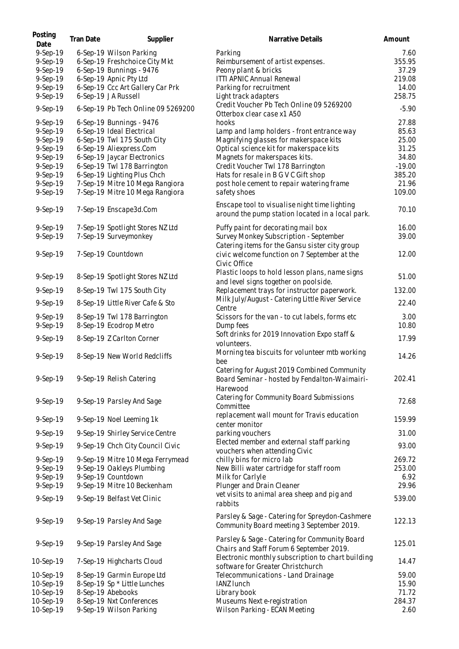| Posting<br>Date | Tran Date | Supplier                           | Narrative Details                                                                                    | Amount   |
|-----------------|-----------|------------------------------------|------------------------------------------------------------------------------------------------------|----------|
| 9-Sep-19        |           | 6-Sep-19 Wilson Parking            | Parking                                                                                              | 7.60     |
| 9-Sep-19        |           | 6-Sep-19 Freshchoice City Mkt      | Reimbursement of artist expenses.                                                                    | 355.95   |
| 9-Sep-19        |           | 6-Sep-19 Bunnings - 9476           | Peony plant & bricks                                                                                 | 37.29    |
| 9-Sep-19        |           | 6-Sep-19 Apnic Pty Ltd             | <b>ITTI APNIC Annual Renewal</b>                                                                     | 219.08   |
| 9-Sep-19        |           | 6-Sep-19 Ccc Art Gallery Car Prk   | Parking for recruitment                                                                              | 14.00    |
| 9-Sep-19        |           | 6-Sep-19 JA Russell                | Light track adapters                                                                                 | 258.75   |
| 9-Sep-19        |           | 6-Sep-19 Pb Tech Online 09 5269200 | Credit Voucher Pb Tech Online 09 5269200<br>Otterbox clear case x1 A50                               | $-5.90$  |
| 9-Sep-19        |           | 6-Sep-19 Bunnings - 9476           | hooks                                                                                                | 27.88    |
| 9-Sep-19        |           | 6-Sep-19 Ideal Electrical          | Lamp and lamp holders - front entrance way                                                           | 85.63    |
| 9-Sep-19        |           | 6-Sep-19 Twl 175 South City        | Magnifying glasses for makerspace kits                                                               | 25.00    |
| 9-Sep-19        |           | 6-Sep-19 Aliexpress.Com            | Optical science kit for makerspace kits                                                              | 31.25    |
| 9-Sep-19        |           | 6-Sep-19 Jaycar Electronics        | Magnets for makerspaces kits.                                                                        | 34.80    |
| 9-Sep-19        |           | 6-Sep-19 Twl 178 Barrington        | Credit Voucher Twl 178 Barrington                                                                    | $-19.00$ |
| 9-Sep-19        |           | 6-Sep-19 Lighting Plus Chch        | Hats for resale in B G V C Gift shop                                                                 | 385.20   |
| 9-Sep-19        |           | 7-Sep-19 Mitre 10 Mega Rangiora    | post hole cement to repair watering frame                                                            | 21.96    |
| 9-Sep-19        |           | 7-Sep-19 Mitre 10 Mega Rangiora    | safety shoes                                                                                         | 109.00   |
| 9-Sep-19        |           | 7-Sep-19 Enscape3d.Com             | Enscape tool to visualise night time lighting<br>around the pump station located in a local park.    | 70.10    |
| $9-Sep-19$      |           | 7-Sep-19 Spotlight Stores NZ Ltd   | Puffy paint for decorating mail box                                                                  | 16.00    |
| 9-Sep-19        |           | 7-Sep-19 Surveymonkey              | Survey Monkey Subscription - September                                                               | 39.00    |
|                 |           |                                    | Catering items for the Gansu sister city group                                                       |          |
| 9-Sep-19        |           | 7-Sep-19 Countdown                 | civic welcome function on 7 September at the<br>Civic Office                                         | 12.00    |
| 9-Sep-19        |           | 8-Sep-19 Spotlight Stores NZ Ltd   | Plastic loops to hold lesson plans, name signs<br>and level signs together on poolside.              | 51.00    |
| 9-Sep-19        |           | 8-Sep-19 Twl 175 South City        | Replacement trays for instructor paperwork.                                                          | 132.00   |
| 9-Sep-19        |           | 8-Sep-19 Little River Cafe & Sto   | Milk July/August - Catering Little River Service<br>Centre                                           | 22.40    |
| 9-Sep-19        |           | 8-Sep-19 Twl 178 Barrington        | Scissors for the van - to cut labels, forms etc                                                      | 3.00     |
| 9-Sep-19        |           | 8-Sep-19 Ecodrop Metro             | Dump fees                                                                                            | 10.80    |
| 9-Sep-19        |           | 8-Sep-19 Z Carlton Corner          | Soft drinks for 2019 Innovation Expo staff &<br>volunteers.                                          | 17.99    |
| 9-Sep-19        |           | 8-Sep-19 New World Redcliffs       | Morning tea biscuits for volunteer mtb working<br>bee<br>Catering for August 2019 Combined Community | 14.26    |
| 9-Sep-19        |           | 9-Sep-19 Relish Catering           | Board Seminar - hosted by Fendalton-Waimairi-<br>Harewood                                            | 202.41   |
| 9-Sep-19        |           | 9-Sep-19 Parsley And Sage          | Catering for Community Board Submissions<br>Committee                                                | 72.68    |
| 9-Sep-19        |           | 9-Sep-19 Noel Leeming 1k           | replacement wall mount for Travis education<br>center monitor                                        | 159.99   |
| 9-Sep-19        |           | 9-Sep-19 Shirley Service Centre    | parking vouchers                                                                                     | 31.00    |
| 9-Sep-19        |           | 9-Sep-19 Chch City Council Civic   | Elected member and external staff parking<br>vouchers when attending Civic                           | 93.00    |
| 9-Sep-19        |           | 9-Sep-19 Mitre 10 Mega Ferrymead   | chilly bins for micro lab                                                                            | 269.72   |
| 9-Sep-19        |           | 9-Sep-19 Oakleys Plumbing          | New Billi water cartridge for staff room                                                             | 253.00   |
| 9-Sep-19        |           | 9-Sep-19 Countdown                 | Milk for Carlyle                                                                                     | 6.92     |
| 9-Sep-19        |           | 9-Sep-19 Mitre 10 Beckenham        | Plunger and Drain Cleaner                                                                            | 29.96    |
| 9-Sep-19        |           | 9-Sep-19 Belfast Vet Clinic        | vet visits to animal area sheep and pig and<br>rabbits                                               | 539.00   |
| 9-Sep-19        |           | 9-Sep-19 Parsley And Sage          | Parsley & Sage - Catering for Spreydon-Cashmere<br>Community Board meeting 3 September 2019.         | 122.13   |
| 9-Sep-19        |           | 9-Sep-19 Parsley And Sage          | Parsley & Sage - Catering for Community Board<br>Chairs and Staff Forum 6 September 2019.            | 125.01   |
| 10-Sep-19       |           | 7-Sep-19 Highcharts Cloud          | Electronic monthly subscription to chart building<br>software for Greater Christchurch               | 14.47    |
| 10-Sep-19       |           | 8-Sep-19 Garmin Europe Ltd         | Telecommunications - Land Drainage                                                                   | 59.00    |
| 10-Sep-19       |           | 8-Sep-19 Sp * Little Lunches       | <b>IANZ lunch</b>                                                                                    | 15.90    |
| 10-Sep-19       |           | 8-Sep-19 Abebooks                  | Library book                                                                                         | 71.72    |
| 10-Sep-19       |           | 8-Sep-19 Nxt Conferences           | Museums Next e-registration                                                                          | 284.37   |
| 10-Sep-19       |           | 9-Sep-19 Wilson Parking            | Wilson Parking - ECAN Meeting                                                                        | 2.60     |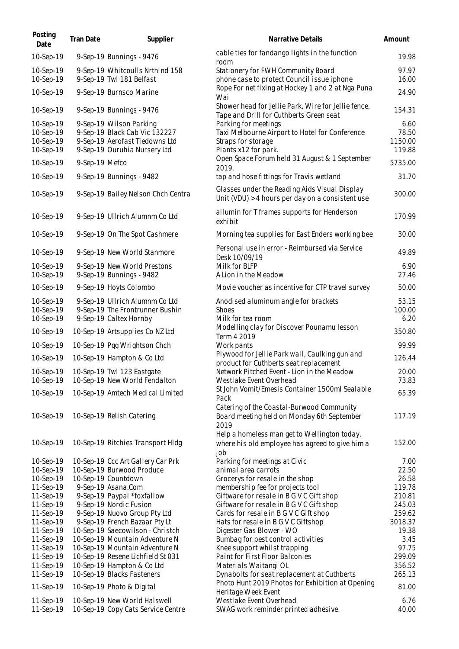| Posting<br>Date        | Tran Date      | Supplier                                                       | Narrative Details                                                                                 | Amount            |
|------------------------|----------------|----------------------------------------------------------------|---------------------------------------------------------------------------------------------------|-------------------|
| 10-Sep-19              |                | 9-Sep-19 Bunnings - 9476                                       | cable ties for fandango lights in the function<br>room                                            | 19.98             |
| 10-Sep-19              |                | 9-Sep-19 Whitcoulls NrthInd 158                                | Stationery for FWH Community Board                                                                | 97.97             |
| 10-Sep-19              |                | 9-Sep-19 Twl 181 Belfast                                       | phone case to protect Council issue iphone                                                        | 16.00             |
| 10-Sep-19              |                | 9-Sep-19 Burnsco Marine                                        | Rope For net fixing at Hockey 1 and 2 at Nga Puna<br>Wai                                          | 24.90             |
| 10-Sep-19              |                | 9-Sep-19 Bunnings - 9476                                       | Shower head for Jellie Park, Wire for Jellie fence,<br>Tape and Drill for Cuthberts Green seat    | 154.31            |
| 10-Sep-19              |                | 9-Sep-19 Wilson Parking                                        | Parking for meetings                                                                              | 6.60              |
| 10-Sep-19              |                | 9-Sep-19 Black Cab Vic 132227                                  | Taxi Melbourne Airport to Hotel for Conference                                                    | 78.50             |
| 10-Sep-19<br>10-Sep-19 |                | 9-Sep-19 Aerofast Tiedowns Ltd<br>9-Sep-19 Ouruhia Nursery Ltd | Straps for storage<br>Plants x12 for park.                                                        | 1150.00<br>119.88 |
| 10-Sep-19              | 9-Sep-19 Mefco |                                                                | Open Space Forum held 31 August & 1 September                                                     | 5735.00           |
|                        |                |                                                                | 2019.                                                                                             |                   |
| 10-Sep-19              |                | 9-Sep-19 Bunnings - 9482                                       | tap and hose fittings for Travis wetland                                                          | 31.70             |
| 10-Sep-19              |                | 9-Sep-19 Bailey Nelson Chch Centra                             | Glasses under the Reading Aids Visual Display<br>Unit (VDU) > 4 hours per day on a consistent use | 300.00            |
| 10-Sep-19              |                | 9-Sep-19 Ullrich Alumnm Co Ltd                                 | allumin for T frames supports for Henderson<br>exhibit                                            | 170.99            |
| 10-Sep-19              |                | 9-Sep-19 On The Spot Cashmere                                  | Morning tea supplies for East Enders working bee                                                  | 30.00             |
| 10-Sep-19              |                | 9-Sep-19 New World Stanmore                                    | Personal use in error - Reimbursed via Service<br>Desk 10/09/19                                   | 49.89             |
| 10-Sep-19              |                | 9-Sep-19 New World Prestons                                    | Milk for BLFP                                                                                     | 6.90              |
| 10-Sep-19              |                | 9-Sep-19 Bunnings - 9482                                       | A Lion in the Meadow                                                                              | 27.46             |
| 10-Sep-19              |                | 9-Sep-19 Hoyts Colombo                                         | Movie voucher as incentive for CTP travel survey                                                  | 50.00             |
| 10-Sep-19              |                | 9-Sep-19 Ullrich Alumnm Co Ltd                                 | Anodised aluminum angle for brackets                                                              | 53.15             |
| 10-Sep-19<br>10-Sep-19 |                | 9-Sep-19 The Frontrunner Bushin<br>9-Sep-19 Caltex Hornby      | <b>Shoes</b><br>Milk for tea room                                                                 | 100.00<br>6.20    |
| 10-Sep-19              |                | 10-Sep-19 Artsupplies Co NZ Ltd                                | Modelling clay for Discover Pounamu lesson                                                        | 350.80            |
| 10-Sep-19              |                | 10-Sep-19 Pgg Wrightson Chch                                   | Term 4 2019<br>Work pants                                                                         | 99.99             |
| 10-Sep-19              |                | 10-Sep-19 Hampton & Co Ltd                                     | Plywood for Jellie Park wall, Caulking gun and                                                    | 126.44            |
|                        |                |                                                                | product for Cuthberts seat replacement                                                            |                   |
| 10-Sep-19<br>10-Sep-19 |                | 10-Sep-19 Twl 123 Eastgate<br>10-Sep-19 New World Fendalton    | Network Pitched Event - Lion in the Meadow<br>Westlake Event Overhead                             | 20.00<br>73.83    |
| 10-Sep-19              |                | 10-Sep-19 Amtech Medical Limited                               | St John Vomit/Emesis Container 1500ml Sealable                                                    | 65.39             |
|                        |                |                                                                | Pack<br>Catering of the Coastal-Burwood Community                                                 |                   |
| 10-Sep-19              |                | 10-Sep-19 Relish Catering                                      | Board meeting held on Monday 6th September                                                        | 117.19            |
|                        |                |                                                                | 2019                                                                                              |                   |
| 10-Sep-19              |                | 10-Sep-19 Ritchies Transport Hldg                              | Help a homeless man get to Wellington today,<br>where his old employee has agreed to give him a   | 152.00            |
|                        |                |                                                                | job                                                                                               |                   |
| 10-Sep-19              |                | 10-Sep-19 Ccc Art Gallery Car Prk                              | Parking for meetings at Civic                                                                     | 7.00              |
| 10-Sep-19              |                | 10-Sep-19 Burwood Produce                                      | animal area carrots                                                                               | 22.50             |
| 10-Sep-19              |                | 10-Sep-19 Countdown                                            | Grocerys for resale in the shop                                                                   | 26.58             |
| 11-Sep-19              |                | 9-Sep-19 Asana.Com                                             | membership fee for projects tool                                                                  | 119.78            |
| 11-Sep-19              |                | 9-Sep-19 Paypal *foxfallow                                     | Giftware for resale in B G V C Gift shop                                                          | 210.81            |
| 11-Sep-19              |                | 9-Sep-19 Nordic Fusion                                         | Giftware for resale in B G V C Gift shop                                                          | 245.03            |
| 11-Sep-19              |                | 9-Sep-19 Nuovo Group Pty Ltd                                   | Cards for resale in B G V C Gift shop                                                             | 259.62            |
| 11-Sep-19              |                | 9-Sep-19 French Bazaar Pty Lt                                  | Hats for resale in B G V C Giftshop                                                               | 3018.37           |
| 11-Sep-19              |                | 10-Sep-19 Saecowilson - Christch                               | Digester Gas Blower - WO                                                                          | 19.38             |
| 11-Sep-19              |                | 10-Sep-19 Mountain Adventure N                                 | Bumbag for pest control activities                                                                | 3.45              |
| 11-Sep-19              |                | 10-Sep-19 Mountain Adventure N                                 | Knee support whilst trapping                                                                      | 97.75             |
| 11-Sep-19              |                | 10-Sep-19 Resene Lichfield St 031                              | Paint for First Floor Balconies                                                                   | 299.09<br>356.52  |
| 11-Sep-19<br>11-Sep-19 |                | 10-Sep-19 Hampton & Co Ltd<br>10-Sep-19 Blacks Fasteners       | Materials Waitangi OL                                                                             | 265.13            |
|                        |                |                                                                | Dynabolts for seat replacement at Cuthberts<br>Photo Hunt 2019 Photos for Exhibition at Opening   |                   |
| 11-Sep-19              |                | 10-Sep-19 Photo & Digital                                      | Heritage Week Event                                                                               | 81.00             |
| 11-Sep-19              |                | 10-Sep-19 New World Halswell                                   | Westlake Event Overhead                                                                           | 6.76              |
| 11-Sep-19              |                | 10-Sep-19 Copy Cats Service Centre                             | SWAG work reminder printed adhesive.                                                              | 40.00             |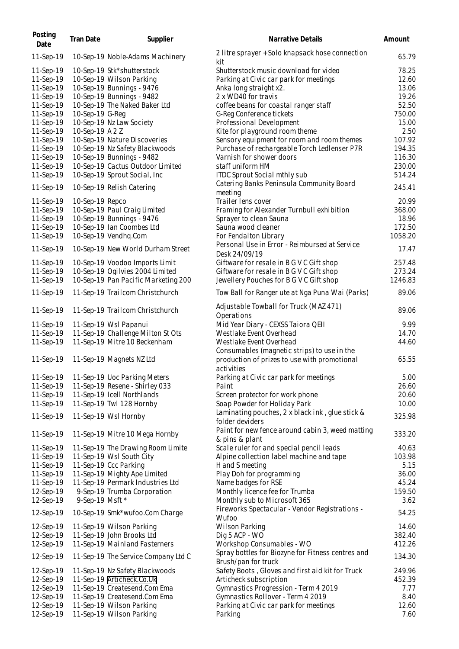| Posting<br>Date | Tran Date       | Supplier                            | <b>Narrative Details</b>                                                                    | Amount  |
|-----------------|-----------------|-------------------------------------|---------------------------------------------------------------------------------------------|---------|
| 11-Sep-19       |                 | 10-Sep-19 Noble-Adams Machinery     | 2 litre sprayer + Solo knapsack hose connection<br>kit                                      | 65.79   |
| 11-Sep-19       |                 | 10-Sep-19 Stk*shutterstock          | Shutterstock music download for video                                                       | 78.25   |
| 11-Sep-19       |                 | 10-Sep-19 Wilson Parking            | Parking at Civic car park for meetings                                                      | 12.60   |
| 11-Sep-19       |                 | 10-Sep-19 Bunnings - 9476           | Anka long straight x2.                                                                      | 13.06   |
| 11-Sep-19       |                 | 10-Sep-19 Bunnings - 9482           | 2 x WD40 for travis                                                                         | 19.26   |
|                 |                 |                                     |                                                                                             |         |
| 11-Sep-19       |                 | 10-Sep-19 The Naked Baker Ltd       | coffee beans for coastal ranger staff                                                       | 52.50   |
| 11-Sep-19       | 10-Sep-19 G-Req |                                     | G-Reg Conference tickets                                                                    | 750.00  |
| 11-Sep-19       |                 | 10-Sep-19 Nz Law Society            | Professional Development                                                                    | 15.00   |
| 11-Sep-19       | 10-Sep-19 A 2 Z |                                     | Kite for playground room theme                                                              | 2.50    |
| 11-Sep-19       |                 | 10-Sep-19 Nature Discoveries        | Sensory equipment for room and room themes                                                  | 107.92  |
| 11-Sep-19       |                 | 10-Sep-19 Nz Safety Blackwoods      | Purchase of rechargeable Torch Ledlenser P7R                                                | 194.35  |
| 11-Sep-19       |                 | 10-Sep-19 Bunnings - 9482           | Varnish for shower doors                                                                    | 116.30  |
| 11-Sep-19       |                 | 10-Sep-19 Cactus Outdoor Limited    | staff uniform HM                                                                            | 230.00  |
|                 |                 |                                     |                                                                                             |         |
| 11-Sep-19       |                 | 10-Sep-19 Sprout Social, Inc        | ITDC Sprout Social mthly sub                                                                | 514.24  |
| 11-Sep-19       |                 | 10-Sep-19 Relish Catering           | Catering Banks Peninsula Community Board                                                    | 245.41  |
|                 |                 |                                     | meeting                                                                                     |         |
| 11-Sep-19       | 10-Sep-19 Repco |                                     | Trailer lens cover                                                                          | 20.99   |
| 11-Sep-19       |                 | 10-Sep-19 Paul Craig Limited        | Framing for Alexander Turnbull exhibition                                                   | 368.00  |
| 11-Sep-19       |                 | 10-Sep-19 Bunnings - 9476           | Sprayer to clean Sauna                                                                      | 18.96   |
|                 |                 |                                     |                                                                                             |         |
| 11-Sep-19       |                 | 10-Sep-19 Ian Coombes Ltd           | Sauna wood cleaner                                                                          | 172.50  |
| 11-Sep-19       |                 | 10-Sep-19 Vendhq.Com                | For Fendalton Library                                                                       | 1058.20 |
| 11-Sep-19       |                 | 10-Sep-19 New World Durham Street   | Personal Use in Error - Reimbursed at Service<br>Desk 24/09/19                              | 17.47   |
| 11-Sep-19       |                 | 10-Sep-19 Voodoo Imports Limit      | Giftware for resale in B G V C Gift shop                                                    | 257.48  |
| 11-Sep-19       |                 | 10-Sep-19 Ogilvies 2004 Limited     | Giftware for resale in B G V C Gift shop                                                    | 273.24  |
| 11-Sep-19       |                 | 10-Sep-19 Pan Pacific Marketing 200 | Jewellery Pouches for B G V C Gift shop                                                     | 1246.83 |
| 11-Sep-19       |                 | 11-Sep-19 Trailcom Christchurch     | Tow Ball for Ranger ute at Nga Puna Wai (Parks)                                             | 89.06   |
| 11-Sep-19       |                 | 11-Sep-19 Trailcom Christchurch     | Adjustable Towball for Truck (MAZ 471)<br>Operations                                        | 89.06   |
| 11-Sep-19       |                 | 11-Sep-19 Wsl Papanui               | Mid Year Diary - CEXSS Taiora QEII                                                          | 9.99    |
| 11-Sep-19       |                 | 11-Sep-19 Challenge Milton St Ots   | Westlake Event Overhead                                                                     | 14.70   |
| 11-Sep-19       |                 | 11-Sep-19 Mitre 10 Beckenham        | Westlake Event Overhead                                                                     | 44.60   |
|                 |                 |                                     |                                                                                             |         |
| 11-Sep-19       |                 | 11-Sep-19 Magnets NZ Ltd            | Consumables (magnetic strips) to use in the<br>production of prizes to use with promotional | 65.55   |
|                 |                 |                                     | activities                                                                                  |         |
| 11-Sep-19       |                 | 11-Sep-19 Uoc Parking Meters        | Parking at Civic car park for meetings                                                      | 5.00    |
| 11-Sep-19       |                 | 11-Sep-19 Resene - Shirley 033      | Paint                                                                                       | 26.60   |
| 11-Sep-19       |                 | 11-Sep-19 Icell Northlands          | Screen protector for work phone                                                             | 20.60   |
|                 |                 |                                     |                                                                                             |         |
| 11-Sep-19       |                 | 11-Sep-19 Twl 128 Hornby            | Soap Powder for Holiday Park                                                                | 10.00   |
| 11-Sep-19       |                 | 11-Sep-19 Wsl Hornby                | Laminating pouches, 2 x black ink, glue stick &<br>folder deviders                          | 325.98  |
| 11-Sep-19       |                 | 11-Sep-19 Mitre 10 Mega Hornby      | Paint for new fence around cabin 3, weed matting<br>& pins & plant                          | 333.20  |
| 11-Sep-19       |                 | 11-Sep-19 The Drawing Room Limite   | Scale ruler for and special pencil leads                                                    | 40.63   |
|                 |                 |                                     |                                                                                             |         |
| 11-Sep-19       |                 | 11-Sep-19 Wsl South City            | Alpine collection label machine and tape                                                    | 103.98  |
| 11-Sep-19       |                 | 11-Sep-19 Ccc Parking               | H and S meeting                                                                             | 5.15    |
| 11-Sep-19       |                 | 11-Sep-19 Mighty Ape Limited        | Play Doh for programming                                                                    | 36.00   |
| 11-Sep-19       |                 | 11-Sep-19 Permark Industries Ltd    | Name badges for RSE                                                                         | 45.24   |
| 12-Sep-19       |                 | 9-Sep-19 Trumba Corporation         | Monthly licence fee for Trumba                                                              | 159.50  |
| 12-Sep-19       | 9-Sep-19 Msft * |                                     | Monthly sub to Microsoft 365                                                                | 3.62    |
|                 |                 |                                     | Fireworks Spectacular - Vendor Registrations -                                              |         |
| 12-Sep-19       |                 | 10-Sep-19 Smk*wufoo.Com Charge      | Wufoo                                                                                       | 54.25   |
| 12-Sep-19       |                 | 11-Sep-19 Wilson Parking            | Wilson Parking                                                                              | 14.60   |
| 12-Sep-19       |                 | 11-Sep-19 John Brooks Ltd           | Dig 5 ACP - WO                                                                              | 382.40  |
| 12-Sep-19       |                 | 11-Sep-19 Mainland Fasterners       | Workshop Consumables - WO                                                                   | 412.26  |
| 12-Sep-19       |                 | 11-Sep-19 The Service Company Ltd C | Spray bottles for Biozyne for Fitness centres and                                           | 134.30  |
|                 |                 |                                     | Brush/pan for truck                                                                         |         |
| 12-Sep-19       |                 | 11-Sep-19 Nz Safety Blackwoods      | Safety Boots, Gloves and first aid kit for Truck                                            | 249.96  |
| 12-Sep-19       |                 | 11-Sep-19 Articheck.Co.Uk           | Articheck subscription                                                                      | 452.39  |
| 12-Sep-19       |                 | 11-Sep-19 Createsend.Com Ema        | Gymnastics Progression - Term 4 2019                                                        | 7.77    |
| 12-Sep-19       |                 | 11-Sep-19 Createsend.Com Ema        | Gymnastics Rollover - Term 4 2019                                                           | 8.40    |
| 12-Sep-19       |                 | 11-Sep-19 Wilson Parking            | Parking at Civic car park for meetings                                                      | 12.60   |
| 12-Sep-19       |                 | 11-Sep-19 Wilson Parking            | Parking                                                                                     | 7.60    |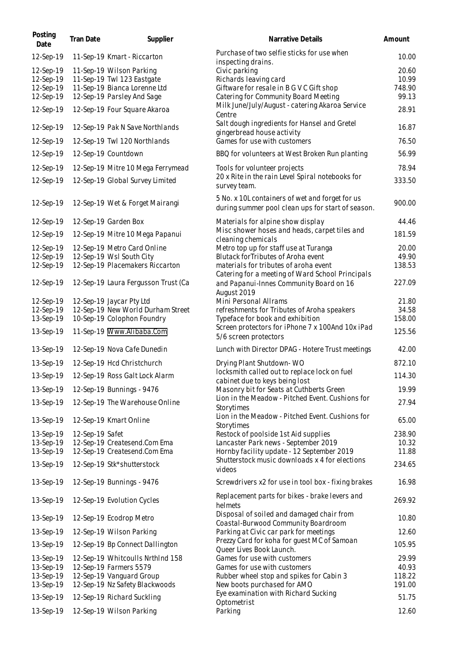| Posting<br>Date                                  | Tran Date       | Supplier                                                                                                             | Narrative Details                                                                                                          | Amount                            |
|--------------------------------------------------|-----------------|----------------------------------------------------------------------------------------------------------------------|----------------------------------------------------------------------------------------------------------------------------|-----------------------------------|
| 12-Sep-19                                        |                 | 11-Sep-19 Kmart - Riccarton                                                                                          | Purchase of two selfie sticks for use when<br>inspecting drains.                                                           | 10.00                             |
| 12-Sep-19<br>12-Sep-19<br>12-Sep-19<br>12-Sep-19 |                 | 11-Sep-19 Wilson Parking<br>11-Sep-19 Twl 123 Eastgate<br>11-Sep-19 Bianca Lorenne Ltd<br>12-Sep-19 Parsley And Sage | Civic parking<br>Richards leaving card<br>Giftware for resale in B G V C Gift shop<br>Catering for Community Board Meeting | 20.60<br>10.99<br>748.90<br>99.13 |
| 12-Sep-19                                        |                 | 12-Sep-19 Four Square Akaroa                                                                                         | Milk June/July/August - catering Akaroa Service<br>Centre                                                                  | 28.91                             |
| 12-Sep-19                                        |                 | 12-Sep-19 Pak N Save Northlands                                                                                      | Salt dough ingredients for Hansel and Gretel<br>gingerbread house activity                                                 | 16.87                             |
| 12-Sep-19                                        |                 | 12-Sep-19 Twl 120 Northlands                                                                                         | Games for use with customers                                                                                               | 76.50                             |
| 12-Sep-19                                        |                 | 12-Sep-19 Countdown                                                                                                  | BBQ for volunteers at West Broken Run planting                                                                             | 56.99                             |
| 12-Sep-19                                        |                 | 12-Sep-19 Mitre 10 Mega Ferrymead                                                                                    | Tools for volunteer projects                                                                                               | 78.94                             |
| 12-Sep-19                                        |                 | 12-Sep-19 Global Survey Limited                                                                                      | 20 x Rite in the rain Level Spiral notebooks for<br>survey team.                                                           | 333.50                            |
| 12-Sep-19                                        |                 | 12-Sep-19 Wet & Forget Mairangi                                                                                      | 5 No. x 10L containers of wet and forget for us<br>during summer pool clean ups for start of season.                       | 900.00                            |
| 12-Sep-19                                        |                 | 12-Sep-19 Garden Box                                                                                                 | Materials for alpine show display                                                                                          | 44.46                             |
| 12-Sep-19                                        |                 | 12-Sep-19 Mitre 10 Mega Papanui                                                                                      | Misc shower hoses and heads, carpet tiles and<br>cleaning chemicals                                                        | 181.59                            |
| 12-Sep-19<br>12-Sep-19                           |                 | 12-Sep-19 Metro Card Online<br>12-Sep-19 Wsl South City                                                              | Metro top up for staff use at Turanga<br>Blutack for Tributes of Aroha event                                               | 20.00<br>49.90                    |
| 12-Sep-19                                        |                 | 12-Sep-19 Placemakers Riccarton                                                                                      | materials for tributes of aroha event<br>Catering for a meeting of Ward School Principals                                  | 138.53                            |
| 12-Sep-19                                        |                 | 12-Sep-19 Laura Fergusson Trust (Ca                                                                                  | and Papanui-Innes Community Board on 16<br>August 2019                                                                     | 227.09                            |
| 12-Sep-19                                        |                 | 12-Sep-19 Jaycar Pty Ltd                                                                                             | Mini Personal Allrams                                                                                                      | 21.80                             |
| 12-Sep-19<br>13-Sep-19                           |                 | 12-Sep-19 New World Durham Street<br>10-Sep-19 Colophon Foundry                                                      | refreshments for Tributes of Aroha speakers<br>Typeface for book and exhibition                                            | 34.58<br>158.00                   |
| 13-Sep-19                                        |                 | 11-Sep-19 Www.Alibaba.Com                                                                                            | Screen protectors for iPhone 7 x 100And 10x iPad<br>5/6 screen protectors                                                  | 125.56                            |
| 13-Sep-19                                        |                 | 12-Sep-19 Nova Cafe Dunedin                                                                                          | Lunch with Director DPAG - Hotere Trust meetings                                                                           | 42.00                             |
| 13-Sep-19                                        |                 | 12-Sep-19 Hcd Christchurch                                                                                           | Drying Plant Shutdown-WO                                                                                                   | 872.10                            |
| 13-Sep-19                                        |                 | 12-Sep-19 Ross Galt Lock Alarm                                                                                       | locksmith called out to replace lock on fuel<br>cabinet due to keys being lost                                             | 114.30                            |
| 13-Sep-19                                        |                 | 12-Sep-19 Bunnings - 9476                                                                                            | Masonry bit for Seats at Cuthberts Green                                                                                   | 19.99                             |
| 13-Sep-19                                        |                 | 12-Sep-19 The Warehouse Online                                                                                       | Lion in the Meadow - Pitched Event. Cushions for<br>Storytimes                                                             | 27.94                             |
| 13-Sep-19                                        |                 | 12-Sep-19 Kmart Online                                                                                               | Lion in the Meadow - Pitched Event. Cushions for<br>Storytimes                                                             | 65.00                             |
| 13-Sep-19<br>13-Sep-19                           | 12-Sep-19 Safet | 12-Sep-19 Createsend.Com Ema                                                                                         | Restock of poolside 1st Aid supplies<br>Lancaster Park news - September 2019                                               | 238.90<br>10.32                   |
| 13-Sep-19                                        |                 | 12-Sep-19 Createsend.Com Ema                                                                                         | Hornby facility update - 12 September 2019                                                                                 | 11.88                             |
| 13-Sep-19                                        |                 | 12-Sep-19 Stk*shutterstock                                                                                           | Shutterstock music downloads x 4 for elections<br>videos                                                                   | 234.65                            |
| 13-Sep-19                                        |                 | 12-Sep-19 Bunnings - 9476                                                                                            | Screwdrivers x2 for use in tool box - fixing brakes                                                                        | 16.98                             |
| 13-Sep-19                                        |                 | 12-Sep-19 Evolution Cycles                                                                                           | Replacement parts for bikes - brake levers and<br>helmets                                                                  | 269.92                            |
| 13-Sep-19                                        |                 | 12-Sep-19 Ecodrop Metro                                                                                              | Disposal of soiled and damaged chair from<br>Coastal-Burwood Community Boardroom                                           | 10.80                             |
| 13-Sep-19                                        |                 | 12-Sep-19 Wilson Parking                                                                                             | Parking at Civic car park for meetings<br>Prezzy Card for koha for guest MC of Samoan                                      | 12.60                             |
| 13-Sep-19                                        |                 | 12-Sep-19 Bp Connect Dallington                                                                                      | Queer Lives Book Launch.                                                                                                   | 105.95                            |
| 13-Sep-19<br>13-Sep-19                           |                 | 12-Sep-19 Whitcoulls NrthInd 158<br>12-Sep-19 Farmers 5579                                                           | Games for use with customers<br>Games for use with customers                                                               | 29.99<br>40.93                    |
| 13-Sep-19                                        |                 | 12-Sep-19 Vanguard Group                                                                                             | Rubber wheel stop and spikes for Cabin 3                                                                                   | 118.22                            |
| 13-Sep-19                                        |                 | 12-Sep-19 Nz Safety Blackwoods                                                                                       | New boots purchased for AMO                                                                                                | 191.00                            |
| 13-Sep-19                                        |                 | 12-Sep-19 Richard Suckling                                                                                           | Eye examination with Richard Sucking<br>Optometrist                                                                        | 51.75                             |
| 13-Sep-19                                        |                 | 12-Sep-19 Wilson Parking                                                                                             | Parking                                                                                                                    | 12.60                             |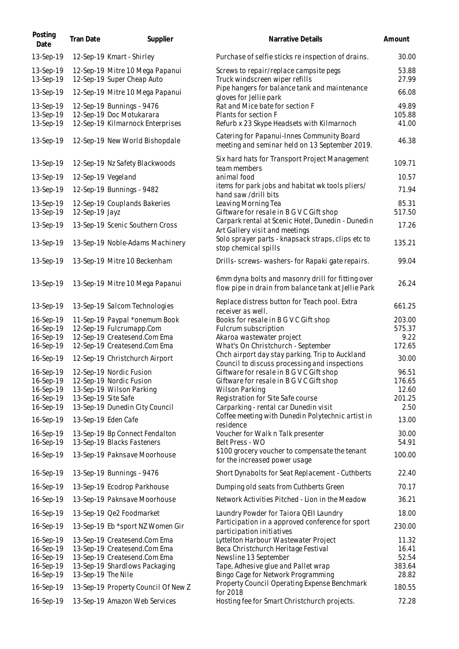| Posting<br>Date        | Tran Date           | Supplier                                                      | Narrative Details                                                                                        | Amount          |
|------------------------|---------------------|---------------------------------------------------------------|----------------------------------------------------------------------------------------------------------|-----------------|
| 13-Sep-19              |                     | 12-Sep-19 Kmart - Shirley                                     | Purchase of selfie sticks reinspection of drains.                                                        | 30.00           |
| 13-Sep-19<br>13-Sep-19 |                     | 12-Sep-19 Mitre 10 Mega Papanui<br>12-Sep-19 Super Cheap Auto | Screws to repair/replace campsite pegs<br>Truck windscreen wiper refills                                 | 53.88<br>27.99  |
| 13-Sep-19              |                     | 12-Sep-19 Mitre 10 Mega Papanui                               | Pipe hangers for balance tank and maintenance                                                            | 66.08           |
| 13-Sep-19<br>13-Sep-19 |                     | 12-Sep-19 Bunnings - 9476<br>12-Sep-19 Doc Motukarara         | gloves for Jellie park<br>Rat and Mice bate for section F<br>Plants for section F                        | 49.89<br>105.88 |
| 13-Sep-19              |                     | 12-Sep-19 Kilmarnock Enterprises                              | Refurb x 23 Skype Headsets with Kilmarnoch                                                               | 41.00           |
| 13-Sep-19              |                     | 12-Sep-19 New World Bishopdale                                | Catering for Papanui-Innes Community Board<br>meeting and seminar held on 13 September 2019.             | 46.38           |
| 13-Sep-19              |                     | 12-Sep-19 Nz Safety Blackwoods                                | Six hard hats for Transport Project Management<br>team members                                           | 109.71          |
| 13-Sep-19              | 12-Sep-19 Vegeland  |                                                               | animal food                                                                                              | 10.57           |
| 13-Sep-19              |                     | 12-Sep-19 Bunnings - 9482                                     | items for park jobs and habitat wk tools pliers/<br>hand saw /drill bits                                 | 71.94           |
| 13-Sep-19<br>13-Sep-19 | 12-Sep-19 Jayz      | 12-Sep-19 Couplands Bakeries                                  | Leaving Morning Tea<br>Giftware for resale in B G V C Gift shop                                          | 85.31<br>517.50 |
| 13-Sep-19              |                     | 13-Sep-19 Scenic Southern Cross                               | Carpark rental at Scenic Hotel, Dunedin - Dunedin<br>Art Gallery visit and meetings                      | 17.26           |
| 13-Sep-19              |                     | 13-Sep-19 Noble-Adams Machinery                               | Solo sprayer parts - knapsack straps, clips etc to<br>stop chemical spills                               | 135.21          |
| 13-Sep-19              |                     | 13-Sep-19 Mitre 10 Beckenham                                  | Drills- screws- washers- for Rapaki gate repairs.                                                        | 99.04           |
| 13-Sep-19              |                     | 13-Sep-19 Mitre 10 Mega Papanui                               | 6mm dyna bolts and masonry drill for fitting over<br>flow pipe in drain from balance tank at Jellie Park | 26.24           |
| 13-Sep-19              |                     | 13-Sep-19 Salcom Technologies                                 | Replace distress button for Teach pool. Extra<br>receiver as well.                                       | 661.25          |
| 16-Sep-19              |                     | 11-Sep-19 Paypal *onemum Book                                 | Books for resale in B G V C Gift shop                                                                    | 203.00          |
| 16-Sep-19<br>16-Sep-19 |                     | 12-Sep-19 Fulcrumapp.Com<br>12-Sep-19 Createsend.Com Ema      | Fulcrum subscription<br>Akaroa wastewater project                                                        | 575.37<br>9.22  |
| 16-Sep-19              |                     | 12-Sep-19 Createsend.Com Ema                                  | What's On Christchurch - September                                                                       | 172.65          |
| 16-Sep-19              |                     | 12-Sep-19 Christchurch Airport                                | Chch airport day stay parking. Trip to Auckland<br>Council to discuss processing and inspections         | 30.00           |
| 16-Sep-19              |                     | 12-Sep-19 Nordic Fusion                                       | Giftware for resale in B G V C Gift shop                                                                 | 96.51           |
| 16-Sep-19              |                     | 12-Sep-19 Nordic Fusion                                       | Giftware for resale in B G V C Gift shop                                                                 | 176.65          |
| 16-Sep-19              |                     | 13-Sep-19 Wilson Parking                                      | <b>Wilson Parking</b>                                                                                    | 12.60           |
| 16-Sep-19              | 13-Sep-19 Site Safe |                                                               | Registration for Site Safe course                                                                        | 201.25<br>2.50  |
| 16-Sep-19              |                     | 13-Sep-19 Dunedin City Council                                | Carparking - rental car Dunedin visit<br>Coffee meeting with Dunedin Polytechnic artist in               |                 |
| 16-Sep-19              |                     | 13-Sep-19 Eden Cafe                                           | residence                                                                                                | 13.00           |
| 16-Sep-19<br>16-Sep-19 |                     | 13-Sep-19 Bp Connect Fendalton<br>13-Sep-19 Blacks Fasteners  | Voucher for Walk n Talk presenter<br>Belt Press - WO                                                     | 30.00<br>54.91  |
| 16-Sep-19              |                     | 13-Sep-19 Paknsave Moorhouse                                  | \$100 grocery voucher to compensate the tenant<br>for the increased power usage                          | 100.00          |
| 16-Sep-19              |                     | 13-Sep-19 Bunnings - 9476                                     | Short Dynabolts for Seat Replacement - Cuthberts                                                         | 22.40           |
| 16-Sep-19              |                     | 13-Sep-19 Ecodrop Parkhouse                                   | Dumping old seats from Cuthberts Green                                                                   | 70.17           |
| 16-Sep-19              |                     | 13-Sep-19 Paknsave Moorhouse                                  | Network Activities Pitched - Lion in the Meadow                                                          | 36.21           |
| 16-Sep-19              |                     | 13-Sep-19 Qe2 Foodmarket                                      | Laundry Powder for Taiora QEII Laundry                                                                   | 18.00           |
| 16-Sep-19              |                     | 13-Sep-19 Eb *sport NZ Women Gir                              | Participation in a approved conference for sport<br>participation initiatives                            | 230.00          |
| 16-Sep-19              |                     | 13-Sep-19 Createsend.Com Ema                                  | Lyttelton Harbour Wastewater Project                                                                     | 11.32           |
| 16-Sep-19              |                     | 13-Sep-19 Createsend.Com Ema                                  | Beca Christchurch Heritage Festival                                                                      | 16.41           |
| 16-Sep-19              |                     | 13-Sep-19 Createsend.Com Ema                                  | Newsline 13 September                                                                                    | 52.54           |
| 16-Sep-19              |                     | 13-Sep-19 Shardlows Packaging                                 | Tape, Adhesive glue and Pallet wrap                                                                      | 383.64          |
| 16-Sep-19              | 13-Sep-19 The Nile  |                                                               | Bingo Cage for Network Programming                                                                       | 28.82           |
| 16-Sep-19              |                     | 13-Sep-19 Property Council Of New Z                           | Property Council Operating Expense Benchmark<br>for 2018                                                 | 180.55          |
| 16-Sep-19              |                     | 13-Sep-19 Amazon Web Services                                 | Hosting fee for Smart Christchurch projects.                                                             | 72.28           |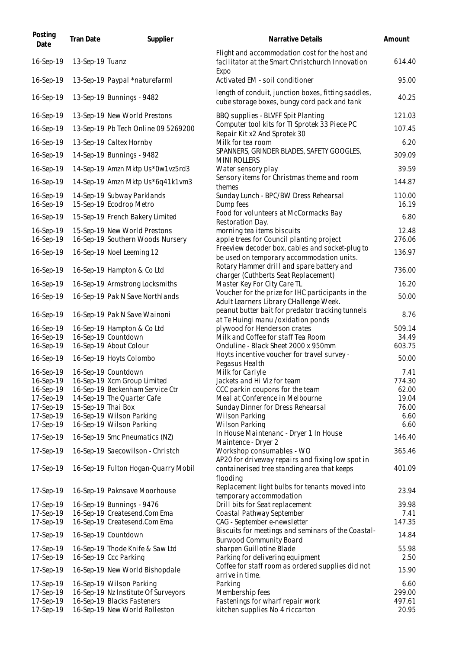| Posting<br>Date        | Tran Date          | Supplier                                                      | Narrative Details                                                                                          | Amount          |
|------------------------|--------------------|---------------------------------------------------------------|------------------------------------------------------------------------------------------------------------|-----------------|
| 16-Sep-19              | 13-Sep-19 Tuanz    |                                                               | Flight and accommodation cost for the host and<br>facilitator at the Smart Christchurch Innovation<br>Expo | 614.40          |
| 16-Sep-19              |                    | 13-Sep-19 Paypal *naturefarml                                 | Activated EM - soil conditioner                                                                            | 95.00           |
| 16-Sep-19              |                    | 13-Sep-19 Bunnings - 9482                                     | length of conduit, junction boxes, fitting saddles,<br>cube storage boxes, bungy cord pack and tank        | 40.25           |
| 16-Sep-19              |                    | 13-Sep-19 New World Prestons                                  | BBQ supplies - BLVFF Spit Planting                                                                         | 121.03          |
| 16-Sep-19              |                    | 13-Sep-19 Pb Tech Online 09 5269200                           | Computer tool kits for TI Sprotek 33 Piece PC<br>Repair Kit x2 And Sprotek 30                              | 107.45          |
| 16-Sep-19              |                    | 13-Sep-19 Caltex Hornby                                       | Milk for tea room                                                                                          | 6.20            |
| 16-Sep-19              |                    | 14-Sep-19 Bunnings - 9482                                     | SPANNERS, GRINDER BLADES, SAFETY GOOGLES,<br><b>MINI ROLLERS</b>                                           | 309.09          |
| 16-Sep-19              |                    | 14-Sep-19 Amzn Mktp Us*0w1vz5rd3                              | Water sensory play                                                                                         | 39.59           |
| 16-Sep-19              |                    | 14-Sep-19 Amzn Mktp Us*6q41k1vm3                              | Sensory items for Christmas theme and room                                                                 | 144.87          |
| 16-Sep-19<br>16-Sep-19 |                    | 14-Sep-19 Subway Parklands<br>15-Sep-19 Ecodrop Metro         | themes<br>Sunday Lunch - BPC/BW Dress Rehearsal<br>Dump fees                                               | 110.00<br>16.19 |
| 16-Sep-19              |                    | 15-Sep-19 French Bakery Limited                               | Food for volunteers at McCormacks Bay                                                                      | 6.80            |
| 16-Sep-19              |                    | 15-Sep-19 New World Prestons                                  | Restoration Day.<br>morning tea items biscuits                                                             | 12.48           |
| 16-Sep-19              |                    | 16-Sep-19 Southern Woods Nursery                              | apple trees for Council planting project                                                                   | 276.06          |
| 16-Sep-19              |                    | 16-Sep-19 Noel Leeming 12                                     | Freeview decoder box, cables and socket-plug to<br>be used on temporary accommodation units.               | 136.97          |
| 16-Sep-19              |                    | 16-Sep-19 Hampton & Co Ltd                                    | Rotary Hammer drill and spare battery and<br>charger (Cuthberts Seat Replacement)                          | 736.00          |
| 16-Sep-19              |                    | 16-Sep-19 Armstrong Locksmiths                                | Master Key For City Care TL                                                                                | 16.20           |
| 16-Sep-19              |                    | 16-Sep-19 Pak N Save Northlands                               | Voucher for the prize for IHC participants in the<br>Adult Learners Library CHallenge Week.                | 50.00           |
| 16-Sep-19              |                    | 16-Sep-19 Pak N Save Wainoni                                  | peanut butter bait for predator tracking tunnels                                                           | 8.76            |
| 16-Sep-19              |                    | 16-Sep-19 Hampton & Co Ltd                                    | at Te Huingi manu /oxidation ponds<br>plywood for Henderson crates                                         | 509.14          |
| 16-Sep-19              |                    | 16-Sep-19 Countdown                                           | Milk and Coffee for staff Tea Room                                                                         | 34.49           |
| 16-Sep-19              |                    | 16-Sep-19 About Colour                                        | Onduline - Black Sheet 2000 x 950mm<br>Hoyts incentive voucher for travel survey -                         | 603.75          |
| 16-Sep-19              |                    | 16-Sep-19 Hoyts Colombo                                       | Pegasus Health                                                                                             | 50.00           |
| 16-Sep-19              |                    | 16-Sep-19 Countdown                                           | Milk for Carlyle                                                                                           | 7.41            |
| 16-Sep-19              |                    | 16-Sep-19 Xcm Group Limited                                   | Jackets and Hi Viz for team                                                                                | 774.30          |
| 16-Sep-19<br>17-Sep-19 |                    | 16-Sep-19 Beckenham Service Ctr<br>14-Sep-19 The Quarter Cafe | CCC parkin coupons for the team<br>Meal at Conference in Melbourne                                         | 62.00<br>19.04  |
| 17-Sep-19              | 15-Sep-19 Thai Box |                                                               | Sunday Dinner for Dress Rehearsal                                                                          | 76.00           |
| 17-Sep-19              |                    | 16-Sep-19 Wilson Parking                                      | Wilson Parking                                                                                             | 6.60            |
| 17-Sep-19              |                    | 16-Sep-19 Wilson Parking                                      | Wilson Parking                                                                                             | 6.60            |
| 17-Sep-19              |                    | 16-Sep-19 Smc Pneumatics (NZ)                                 | In House Maintenanc - Dryer 1 In House                                                                     | 146.40          |
| 17-Sep-19              |                    | 16-Sep-19 Saecowilson - Christch                              | Maintence - Dryer 2<br>Workshop consumables - WO                                                           | 365.46          |
|                        |                    |                                                               | AP20 for driveway repairs and fixing low spot in                                                           |                 |
| 17-Sep-19              |                    | 16-Sep-19 Fulton Hogan-Quarry Mobil                           | containerised tree standing area that keeps<br>flooding                                                    | 401.09          |
| 17-Sep-19              |                    | 16-Sep-19 Paknsave Moorhouse                                  | Replacement light bulbs for tenants moved into<br>temporary accommodation                                  | 23.94           |
| 17-Sep-19              |                    | 16-Sep-19 Bunnings - 9476                                     | Drill bits for Seat replacement                                                                            | 39.98           |
| 17-Sep-19              |                    | 16-Sep-19 Createsend.Com Ema                                  | Coastal Pathway September                                                                                  | 7.41            |
| 17-Sep-19              |                    | 16-Sep-19 Createsend.Com Ema                                  | CAG - September e-newsletter                                                                               | 147.35          |
| 17-Sep-19              |                    | 16-Sep-19 Countdown                                           | Biscuits for meetings and seminars of the Coastal-<br><b>Burwood Community Board</b>                       | 14.84           |
| 17-Sep-19              |                    | 16-Sep-19 Thode Knife & Saw Ltd                               | sharpen Guillotine Blade                                                                                   | 55.98           |
| 17-Sep-19              |                    | 16-Sep-19 Ccc Parking                                         | Parking for delivering equipment                                                                           | 2.50            |
| 17-Sep-19              |                    | 16-Sep-19 New World Bishopdale                                | Coffee for staff room as ordered supplies did not<br>arrive in time.                                       | 15.90           |
| 17-Sep-19              |                    | 16-Sep-19 Wilson Parking                                      | Parking                                                                                                    | 6.60            |
| 17-Sep-19              |                    | 16-Sep-19 Nz Institute Of Surveyors                           | Membership fees                                                                                            | 299.00          |
| 17-Sep-19              |                    | 16-Sep-19 Blacks Fasteners                                    | Fastenings for wharf repair work                                                                           | 497.61          |
| 17-Sep-19              |                    | 16-Sep-19 New World Rolleston                                 | kitchen supplies No 4 riccarton                                                                            | 20.95           |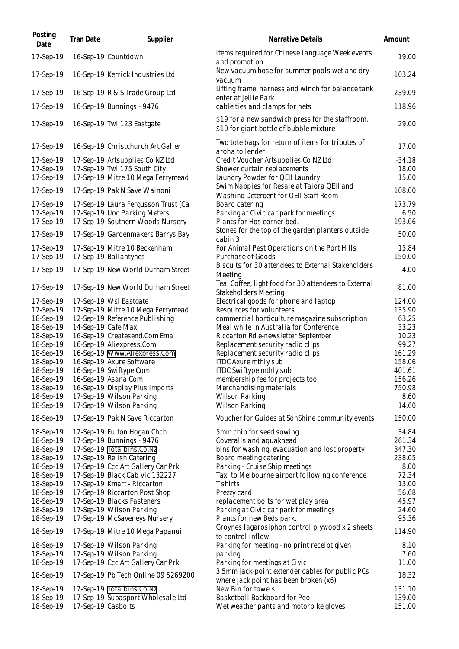| Posting<br>Date        | Tran Date          | Supplier                                                 | Narrative Details                                                                           | Amount           |
|------------------------|--------------------|----------------------------------------------------------|---------------------------------------------------------------------------------------------|------------------|
| 17-Sep-19              |                    | 16-Sep-19 Countdown                                      | items required for Chinese Language Week events<br>and promotion                            | 19.00            |
| 17-Sep-19              |                    | 16-Sep-19 Kerrick Industries Ltd                         | New vacuum hose for summer pools wet and dry<br>vacuum                                      | 103.24           |
| 17-Sep-19              |                    | 16-Sep-19 R & S Trade Group Ltd                          | Lifting frame, harness and winch for balance tank<br>enter at Jellie Park                   | 239.09           |
| 17-Sep-19              |                    | 16-Sep-19 Bunnings - 9476                                | cable ties and clamps for nets                                                              | 118.96           |
| 17-Sep-19              |                    | 16-Sep-19 Twl 123 Eastgate                               | \$19 for a new sandwich press for the staffroom.<br>\$10 for giant bottle of bubble mixture | 29.00            |
| 17-Sep-19              |                    | 16-Sep-19 Christchurch Art Galler                        | Two tote bags for return of items for tributes of<br>aroha to lender                        | 17.00            |
| 17-Sep-19              |                    | 17-Sep-19 Artsupplies Co NZ Ltd                          | Credit Voucher Artsupplies Co NZ Ltd                                                        | $-34.18$         |
| 17-Sep-19              |                    | 17-Sep-19 Twl 175 South City                             | Shower curtain replacements                                                                 | 18.00            |
| 17-Sep-19              |                    | 17-Sep-19 Mitre 10 Mega Ferrymead                        | Laundry Powder for QEII Laundry<br>Swim Nappies for Resale at Taiora QEII and               | 15.00            |
| 17-Sep-19              |                    | 17-Sep-19 Pak N Save Wainoni                             | Washing Detergent for QEII Staff Room                                                       | 108.00           |
| 17-Sep-19              |                    | 17-Sep-19 Laura Fergusson Trust (Ca                      | Board catering                                                                              | 173.79           |
| 17-Sep-19              |                    | 17-Sep-19 Uoc Parking Meters                             | Parking at Civic car park for meetings                                                      | 6.50             |
| 17-Sep-19              |                    | 17-Sep-19 Southern Woods Nursery                         | Plants for Hos corner bed.                                                                  | 193.06           |
| 17-Sep-19              |                    | 17-Sep-19 Gardenmakers Barrys Bay                        | Stones for the top of the garden planters outside<br>cabin 3                                | 50.00            |
| 17-Sep-19              |                    | 17-Sep-19 Mitre 10 Beckenham                             | For Animal Pest Operations on the Port Hills                                                | 15.84            |
| 17-Sep-19              |                    | 17-Sep-19 Ballantynes                                    | Purchase of Goods<br>Biscuits for 30 attendees to External Stakeholders                     | 150.00           |
| 17-Sep-19              |                    | 17-Sep-19 New World Durham Street                        | Meeting                                                                                     | 4.00             |
| 17-Sep-19              |                    | 17-Sep-19 New World Durham Street                        | Tea, Coffee, light food for 30 attendees to External<br>Stakeholders Meeting                | 81.00            |
| 17-Sep-19              |                    | 17-Sep-19 Wsl Eastgate                                   | Electrical goods for phone and laptop                                                       | 124.00           |
| 17-Sep-19              |                    | 17-Sep-19 Mitre 10 Mega Ferrymead                        | Resources for volunteers                                                                    | 135.90           |
| 18-Sep-19              |                    | 12-Sep-19 Reference Publishing                           | commercial horticulture magazine subscription                                               | 63.25            |
| 18-Sep-19              | 14-Sep-19 Cafe Max |                                                          | Meal while in Australia for Conference                                                      | 33.23            |
| 18-Sep-19<br>18-Sep-19 |                    | 16-Sep-19 Createsend.Com Ema<br>16-Sep-19 Aliexpress.Com | Riccarton Rd e-newsletter September<br>Replacement security radio clips                     | 10.23<br>99.27   |
| 18-Sep-19              |                    | 16-Sep-19 Www.Aliexpress.Com                             | Replacement security radio clips                                                            | 161.29           |
| 18-Sep-19              |                    | 16-Sep-19 Axure Software                                 | ITDC Axure mthly sub                                                                        | 158.06           |
| 18-Sep-19              |                    | 16-Sep-19 Swiftype.Com                                   | ITDC Swiftype mthly sub                                                                     | 401.61           |
| 18-Sep-19              |                    | 16-Sep-19 Asana.Com                                      | membership fee for projects tool                                                            | 156.26           |
| 18-Sep-19              |                    | 16-Sep-19 Display Plus Imports                           | Merchandising materials                                                                     | 750.98           |
| 18-Sep-19              |                    | 17-Sep-19 Wilson Parking                                 | Wilson Parking                                                                              | 8.60             |
| 18-Sep-19              |                    | 17-Sep-19 Wilson Parking                                 | Wilson Parking                                                                              | 14.60            |
| 18-Sep-19              |                    | 17-Sep-19 Pak N Save Riccarton                           | Voucher for Guides at SonShine community events                                             | 150.00           |
| 18-Sep-19              |                    | 17-Sep-19 Fulton Hogan Chch                              | 5mm chip for seed sowing                                                                    | 34.84            |
| 18-Sep-19<br>18-Sep-19 |                    | 17-Sep-19 Bunnings - 9476<br>17-Sep-19 Totalbins.Co.Nz   | Coveralls and aquaknead<br>bins for washing, evacuation and lost property                   | 261.34<br>347.30 |
| 18-Sep-19              |                    | 17-Sep-19 Relish Catering                                | Board meeting catering                                                                      | 238.05           |
| 18-Sep-19              |                    | 17-Sep-19 Ccc Art Gallery Car Prk                        | Parking - Cruise Ship meetings                                                              | 8.00             |
| 18-Sep-19              |                    | 17-Sep-19 Black Cab Vic 132227                           | Taxi to Melbourne airport following conference                                              | 72.34            |
| 18-Sep-19              |                    | 17-Sep-19 Kmart - Riccarton                              | <b>T</b> shirts                                                                             | 13.00            |
| 18-Sep-19              |                    | 17-Sep-19 Riccarton Post Shop                            | Prezzy card                                                                                 | 56.68            |
| 18-Sep-19              |                    | 17-Sep-19 Blacks Fasteners                               | replacement bolts for wet play area                                                         | 45.97            |
| 18-Sep-19<br>18-Sep-19 |                    | 17-Sep-19 Wilson Parking<br>17-Sep-19 McSaveneys Nursery | Parking at Civic car park for meetings<br>Plants for new Beds park.                         | 24.60<br>95.36   |
| 18-Sep-19              |                    | 17-Sep-19 Mitre 10 Mega Papanui                          | Groynes lagarosiphon control plywood x 2 sheets                                             | 114.90           |
| 18-Sep-19              |                    | 17-Sep-19 Wilson Parking                                 | to control inflow<br>Parking for meeting - no print receipt given                           | 8.10             |
| 18-Sep-19              |                    | 17-Sep-19 Wilson Parking                                 | parking                                                                                     | 7.60             |
| 18-Sep-19              |                    | 17-Sep-19 Ccc Art Gallery Car Prk                        | Parking for meetings at Civic                                                               | 11.00            |
| 18-Sep-19              |                    | 17-Sep-19 Pb Tech Online 09 5269200                      | 3.5mm jack-point extender cables for public PCs<br>where jack point has been broken (x6)    | 18.32            |
| 18-Sep-19              |                    | 17-Sep-19 Totalbins.Co.Nz                                | New Bin for towels                                                                          | 131.10           |
| 18-Sep-19              |                    | 17-Sep-19 Supasport Wholesale Ltd                        | Basketball Backboard for Pool                                                               | 139.00           |
| 18-Sep-19              | 17-Sep-19 Casbolts |                                                          | Wet weather pants and motorbike gloves                                                      | 151.00           |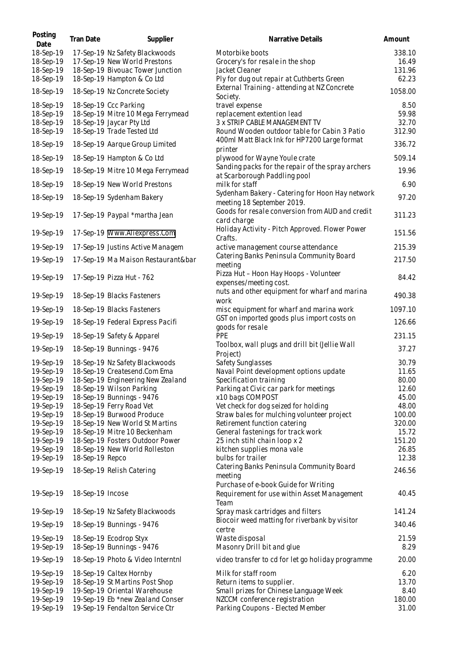| Posting<br>Date        | Tran Date        | Supplier                                            | Narrative Details                                                                   | Amount        |
|------------------------|------------------|-----------------------------------------------------|-------------------------------------------------------------------------------------|---------------|
| 18-Sep-19              |                  | 17-Sep-19 Nz Safety Blackwoods                      | Motorbike boots                                                                     | 338.10        |
| 18-Sep-19              |                  | 17-Sep-19 New World Prestons                        | Grocery's for resale in the shop                                                    | 16.49         |
| 18-Sep-19              |                  | 18-Sep-19 Bivouac Tower Junction                    | Jacket Cleaner                                                                      | 131.96        |
| 18-Sep-19              |                  | 18-Sep-19 Hampton & Co Ltd                          | Ply for dug out repair at Cuthberts Green                                           | 62.23         |
| 18-Sep-19              |                  | 18-Sep-19 Nz Concrete Society                       | External Training - attending at NZ Concrete<br>Society.                            | 1058.00       |
| 18-Sep-19              |                  | 18-Sep-19 Ccc Parking                               | travel expense                                                                      | 8.50          |
| 18-Sep-19              |                  | 18-Sep-19 Mitre 10 Mega Ferrymead                   | replacement extention lead                                                          | 59.98         |
| 18-Sep-19              |                  | 18-Sep-19 Jaycar Pty Ltd                            | 3 x STRIP CABLE MANAGEMENT TV                                                       | 32.70         |
| 18-Sep-19              |                  | 18-Sep-19 Trade Tested Ltd                          | Round Wooden outdoor table for Cabin 3 Patio                                        | 312.90        |
| 18-Sep-19              |                  | 18-Sep-19 Aarque Group Limited                      | 400ml Matt Black Ink for HP7200 Large format<br>printer                             | 336.72        |
| 18-Sep-19              |                  | 18-Sep-19 Hampton & Co Ltd                          | plywood for Wayne Youle crate                                                       | 509.14        |
| 18-Sep-19              |                  | 18-Sep-19 Mitre 10 Mega Ferrymead                   | Sanding packs for the repair of the spray archers<br>at Scarborough Paddling pool   | 19.96         |
| 18-Sep-19              |                  | 18-Sep-19 New World Prestons                        | milk for staff                                                                      | 6.90          |
| 18-Sep-19              |                  | 18-Sep-19 Sydenham Bakery                           | Sydenham Bakery - Catering for Hoon Hay network<br>meeting 18 September 2019.       | 97.20         |
| 19-Sep-19              |                  | 17-Sep-19 Paypal *martha Jean                       | Goods for resale conversion from AUD and credit<br>card charge                      | 311.23        |
| 19-Sep-19              |                  | 17-Sep-19 Www.Aliexpress.Com                        | Holiday Activity - Pitch Approved. Flower Power                                     | 151.56        |
| 19-Sep-19              |                  | 17-Sep-19 Justins Active Managem                    | Crafts.<br>active management course attendance                                      | 215.39        |
|                        |                  |                                                     | Catering Banks Peninsula Community Board                                            |               |
| 19-Sep-19              |                  | 17-Sep-19 Ma Maison Restaurant&bar                  | meeting                                                                             | 217.50        |
| 19-Sep-19              |                  | 17-Sep-19 Pizza Hut - 762                           | Pizza Hut - Hoon Hay Hoops - Volunteer<br>expenses/meeting cost.                    | 84.42         |
| 19-Sep-19              |                  | 18-Sep-19 Blacks Fasteners                          | nuts and other equipment for wharf and marina<br>work                               | 490.38        |
| 19-Sep-19              |                  | 18-Sep-19 Blacks Fasteners                          | misc equipment for wharf and marina work                                            | 1097.10       |
| 19-Sep-19              |                  | 18-Sep-19 Federal Express Pacifi                    | GST on imported goods plus import costs on                                          | 126.66        |
| 19-Sep-19              |                  | 18-Sep-19 Safety & Apparel                          | goods for resale<br>PPE                                                             | 231.15        |
|                        |                  |                                                     | Toolbox, wall plugs and drill bit (Jellie Wall                                      |               |
| 19-Sep-19              |                  | 18-Sep-19 Bunnings - 9476                           | Project)                                                                            | 37.27         |
| 19-Sep-19              |                  | 18-Sep-19 Nz Safety Blackwoods                      | Safety Sunglasses                                                                   | 30.79         |
| 19-Sep-19              |                  | 18-Sep-19 Createsend.Com Ema                        | Naval Point development options update                                              | 11.65         |
| 19-Sep-19              |                  | 18-Sep-19 Engineering New Zealand                   | Specification training                                                              | 80.00         |
| 19-Sep-19              |                  | 18-Sep-19 Wilson Parking                            | Parking at Civic car park for meetings                                              | 12.60         |
| 19-Sep-19              |                  | 18-Sep-19 Bunnings - 9476                           | x10 bags COMPOST                                                                    | 45.00         |
| 19-Sep-19              |                  | 18-Sep-19 Ferry Road Vet                            | Vet check for dog seized for holding                                                | 48.00         |
| 19-Sep-19              |                  | 18-Sep-19 Burwood Produce                           | Straw bales for mulching volunteer project                                          | 100.00        |
| 19-Sep-19              |                  | 18-Sep-19 New World St Martins                      | Retirement function catering                                                        | 320.00        |
| 19-Sep-19              |                  | 18-Sep-19 Mitre 10 Beckenham                        | General fastenings for track work                                                   | 15.72         |
| 19-Sep-19              |                  | 18-Sep-19 Fosters Outdoor Power                     | 25 inch stihl chain loop x 2                                                        | 151.20        |
| 19-Sep-19              |                  | 18-Sep-19 New World Rolleston                       | kitchen supplies mona vale                                                          | 26.85         |
| 19-Sep-19              | 18-Sep-19 Repco  |                                                     | bulbs for trailer                                                                   | 12.38         |
| 19-Sep-19              |                  | 18-Sep-19 Relish Catering                           | Catering Banks Peninsula Community Board<br>meeting                                 | 246.56        |
| 19-Sep-19              | 18-Sep-19 Incose |                                                     | Purchase of e-book Guide for Writing<br>Requirement for use within Asset Management | 40.45         |
| 19-Sep-19              |                  | 18-Sep-19 Nz Safety Blackwoods                      | Team<br>Spray mask cartridges and filters                                           | 141.24        |
| 19-Sep-19              |                  | 18-Sep-19 Bunnings - 9476                           | Biocoir weed matting for riverbank by visitor                                       | 340.46        |
|                        |                  |                                                     | certre                                                                              |               |
| 19-Sep-19<br>19-Sep-19 |                  | 18-Sep-19 Ecodrop Styx<br>18-Sep-19 Bunnings - 9476 | Waste disposal<br>Masonry Drill bit and glue                                        | 21.59<br>8.29 |
| 19-Sep-19              |                  | 18-Sep-19 Photo & Video Interntnl                   | video transfer to cd for let go holiday programme                                   | 20.00         |
| 19-Sep-19              |                  | 18-Sep-19 Caltex Hornby                             | Milk for staff room                                                                 | 6.20          |
| 19-Sep-19              |                  | 18-Sep-19 St Martins Post Shop                      | Return items to supplier.                                                           | 13.70         |
| 19-Sep-19              |                  | 19-Sep-19 Oriental Warehouse                        | Small prizes for Chinese Language Week                                              | 8.40          |
| 19-Sep-19              |                  | 19-Sep-19 Eb *new Zealand Conser                    | NZCCM conference registration                                                       | 180.00        |
| 19-Sep-19              |                  | 19-Sep-19 Fendalton Service Ctr                     | Parking Coupons - Elected Member                                                    | 31.00         |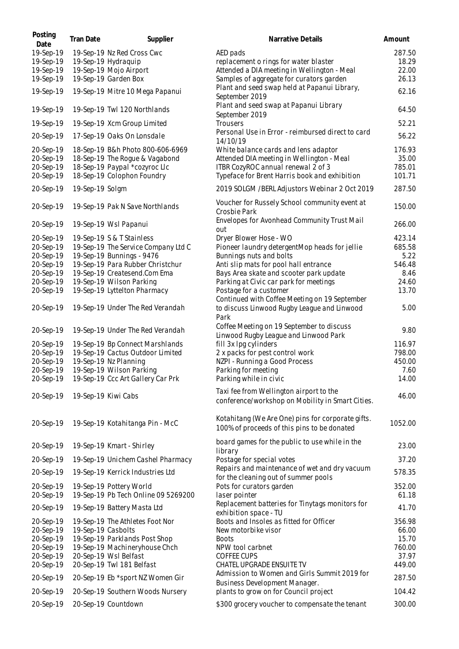| Posting<br>Date        | Tran Date          | Supplier                                                       | Narrative Details                                                                                    | Amount          |
|------------------------|--------------------|----------------------------------------------------------------|------------------------------------------------------------------------------------------------------|-----------------|
| 19-Sep-19              |                    | 19-Sep-19 Nz Red Cross Cwc                                     | AED pads                                                                                             | 287.50          |
| 19-Sep-19              |                    | 19-Sep-19 Hydraquip                                            | replacement o rings for water blaster                                                                | 18.29           |
| 19-Sep-19              |                    | 19-Sep-19 Mojo Airport                                         | Attended a DIA meeting in Wellington - Meal                                                          | 22.00           |
| 19-Sep-19              |                    | 19-Sep-19 Garden Box                                           | Samples of aggregate for curators garden                                                             | 26.13           |
| 19-Sep-19              |                    | 19-Sep-19 Mitre 10 Mega Papanui                                | Plant and seed swap held at Papanui Library,<br>September 2019                                       | 62.16           |
| 19-Sep-19              |                    | 19-Sep-19 Twl 120 Northlands                                   | Plant and seed swap at Papanui Library<br>September 2019                                             | 64.50           |
| 19-Sep-19              |                    | 19-Sep-19 Xcm Group Limited                                    | Trousers                                                                                             | 52.21           |
| 20-Sep-19              |                    | 17-Sep-19 Oaks On Lonsdale                                     | Personal Use in Error - reimbursed direct to card<br>14/10/19                                        | 56.22           |
| 20-Sep-19              |                    | 18-Sep-19 B&h Photo 800-606-6969                               | White balance cards and lens adaptor                                                                 | 176.93          |
| 20-Sep-19              |                    | 18-Sep-19 The Rogue & Vagabond                                 | Attended DIA meeting in Wellington - Meal                                                            | 35.00           |
| 20-Sep-19              |                    | 18-Sep-19 Paypal *cozyroc Llc                                  | ITBR CozyROC annual renewal 2 of 3                                                                   | 785.01          |
| 20-Sep-19              |                    | 18-Sep-19 Colophon Foundry                                     | Typeface for Brent Harris book and exhibition                                                        | 101.71          |
| 20-Sep-19              | 19-Sep-19 Solgm    |                                                                | 2019 SOLGM / BERL Adjustors Webinar 2 Oct 2019                                                       | 287.50          |
| 20-Sep-19              |                    | 19-Sep-19 Pak N Save Northlands                                | Voucher for Russely School community event at<br>Crosbie Park                                        | 150.00          |
| 20-Sep-19              |                    | 19-Sep-19 Wsl Papanui                                          | Envelopes for Avonhead Community Trust Mail<br>out                                                   | 266.00          |
| 20-Sep-19              |                    | 19-Sep-19 S & T Stainless                                      | Dryer Blower Hose - WO                                                                               | 423.14          |
| 20-Sep-19              |                    | 19-Sep-19 The Service Company Ltd C                            | Pioneer laundry detergentMop heads for jellie                                                        | 685.58          |
| 20-Sep-19              |                    | 19-Sep-19 Bunnings - 9476                                      | Bunnings nuts and bolts                                                                              | 5.22            |
| 20-Sep-19              |                    | 19-Sep-19 Para Rubber Christchur                               | Anti slip mats for pool hall entrance                                                                | 546.48          |
| 20-Sep-19              |                    | 19-Sep-19 Createsend.Com Ema                                   | Bays Area skate and scooter park update                                                              | 8.46            |
| 20-Sep-19              |                    | 19-Sep-19 Wilson Parking                                       | Parking at Civic car park for meetings                                                               | 24.60           |
| 20-Sep-19              |                    | 19-Sep-19 Lyttelton Pharmacy                                   | Postage for a customer                                                                               | 13.70           |
| 20-Sep-19              |                    | 19-Sep-19 Under The Red Verandah                               | Continued with Coffee Meeting on 19 September<br>to discuss Linwood Rugby League and Linwood<br>Park | 5.00            |
| 20-Sep-19              |                    | 19-Sep-19 Under The Red Verandah                               | Coffee Meeting on 19 September to discuss<br>Linwood Rugby League and Linwood Park                   | 9.80            |
| 20-Sep-19              |                    | 19-Sep-19 Bp Connect Marshlands                                | fill 3x Ipg cylinders                                                                                | 116.97          |
| 20-Sep-19              |                    | 19-Sep-19 Cactus Outdoor Limited                               | 2 x packs for pest control work                                                                      | 798.00          |
| 20-Sep-19              |                    | 19-Sep-19 Nz Planning                                          | NZPI - Running a Good Process                                                                        | 450.00          |
| 20-Sep-19              |                    | 19-Sep-19 Wilson Parking                                       | Parking for meeting                                                                                  | 7.60            |
| 20-Sep-19              |                    | 19-Sep-19 Ccc Art Gallery Car Prk                              | Parking while in civic                                                                               | 14.00           |
| 20-Sep-19              |                    | 19-Sep-19 Kiwi Cabs                                            | Taxi fee from Wellington airport to the<br>conference/workshop on Mobility in Smart Cities.          | 46.00           |
| 20-Sep-19              |                    | 19-Sep-19 Kotahitanga Pin - McC                                | Kotahitang (We Are One) pins for corporate gifts.<br>100% of proceeds of this pins to be donated     | 1052.00         |
| 20-Sep-19              |                    | 19-Sep-19 Kmart - Shirley                                      | board games for the public to use while in the<br>library                                            | 23.00           |
| 20-Sep-19              |                    | 19-Sep-19 Unichem Cashel Pharmacy                              | Postage for special votes                                                                            | 37.20           |
| 20-Sep-19              |                    | 19-Sep-19 Kerrick Industries Ltd                               | Repairs and maintenance of wet and dry vacuum<br>for the cleaning out of summer pools                | 578.35          |
| 20-Sep-19<br>20-Sep-19 |                    | 19-Sep-19 Pottery World<br>19-Sep-19 Pb Tech Online 09 5269200 | Pots for curators garden<br>laser pointer                                                            | 352.00<br>61.18 |
| 20-Sep-19              |                    | 19-Sep-19 Battery Masta Ltd                                    | Replacement batteries for Tinytags monitors for<br>exhibition space - TU                             | 41.70           |
| 20-Sep-19              |                    | 19-Sep-19 The Athletes Foot Nor                                | Boots and Insoles as fitted for Officer                                                              | 356.98          |
| 20-Sep-19              | 19-Sep-19 Casbolts |                                                                | New motorbike visor                                                                                  | 66.00           |
| 20-Sep-19              |                    | 19-Sep-19 Parklands Post Shop                                  | <b>Boots</b>                                                                                         | 15.70           |
| 20-Sep-19              |                    | 19-Sep-19 Machineryhouse Chch                                  | NPW tool carbnet                                                                                     | 760.00          |
| 20-Sep-19              |                    | 20-Sep-19 Wsl Belfast                                          | <b>COFFEE CUPS</b>                                                                                   | 37.97           |
| 20-Sep-19              |                    | 20-Sep-19 Twl 181 Belfast                                      | CHATEL UPGRADE ENSUITE TV                                                                            | 449.00          |
| 20-Sep-19              |                    | 20-Sep-19 Eb *sport NZ Women Gir                               | Admission to Women and Girls Summit 2019 for<br>Business Development Manager.                        | 287.50          |
| 20-Sep-19              |                    | 20-Sep-19 Southern Woods Nursery                               | plants to grow on for Council project                                                                | 104.42          |
| 20-Sep-19              |                    | 20-Sep-19 Countdown                                            | \$300 grocery voucher to compensate the tenant                                                       | 300.00          |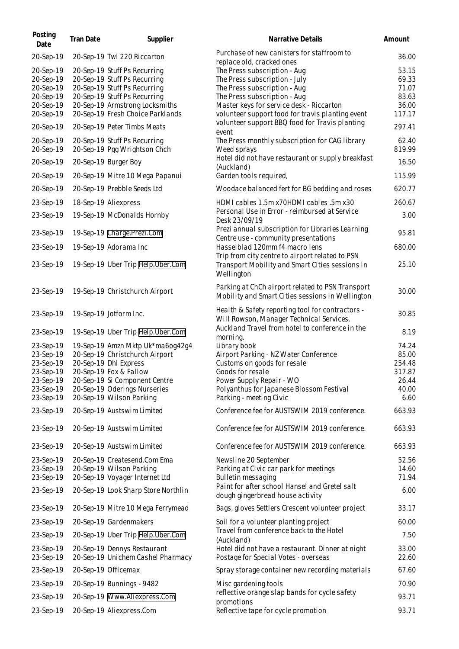| Posting<br>Date                                                                         | Tran Date | Supplier                                                                                                                                                                                                           | Narrative Details                                                                                                                                                                                                             | Amount                                                       |
|-----------------------------------------------------------------------------------------|-----------|--------------------------------------------------------------------------------------------------------------------------------------------------------------------------------------------------------------------|-------------------------------------------------------------------------------------------------------------------------------------------------------------------------------------------------------------------------------|--------------------------------------------------------------|
| 20-Sep-19                                                                               |           | 20-Sep-19 Twl 220 Riccarton                                                                                                                                                                                        | Purchase of new canisters for staffroom to<br>replace old, cracked ones                                                                                                                                                       | 36.00                                                        |
| 20-Sep-19<br>20-Sep-19<br>20-Sep-19<br>20-Sep-19<br>20-Sep-19<br>20-Sep-19              |           | 20-Sep-19 Stuff Ps Recurring<br>20-Sep-19 Stuff Ps Recurring<br>20-Sep-19 Stuff Ps Recurring<br>20-Sep-19 Stuff Ps Recurring<br>20-Sep-19 Armstrong Locksmiths<br>20-Sep-19 Fresh Choice Parklands                 | The Press subscription - Aug<br>The Press subscription - July<br>The Press subscription - Aug<br>The Press subscription - Aug<br>Master keys for service desk - Riccarton<br>volunteer support food for travis planting event | 53.15<br>69.33<br>71.07<br>83.63<br>36.00<br>117.17          |
| 20-Sep-19                                                                               |           | 20-Sep-19 Peter Timbs Meats                                                                                                                                                                                        | volunteer support BBQ food for Travis planting<br>event                                                                                                                                                                       | 297.41                                                       |
| 20-Sep-19<br>20-Sep-19                                                                  |           | 20-Sep-19 Stuff Ps Recurring<br>20-Sep-19 Pgg Wrightson Chch                                                                                                                                                       | The Press monthly subscription for CAG library<br>Weed sprays                                                                                                                                                                 | 62.40<br>819.99                                              |
| 20-Sep-19                                                                               |           | 20-Sep-19 Burger Boy                                                                                                                                                                                               | Hotel did not have restaurant or supply breakfast<br>(Auckland)                                                                                                                                                               | 16.50                                                        |
| 20-Sep-19                                                                               |           | 20-Sep-19 Mitre 10 Mega Papanui                                                                                                                                                                                    | Garden tools required,                                                                                                                                                                                                        | 115.99                                                       |
| 20-Sep-19                                                                               |           | 20-Sep-19 Prebble Seeds Ltd                                                                                                                                                                                        | Woodace balanced fert for BG bedding and roses                                                                                                                                                                                | 620.77                                                       |
| 23-Sep-19                                                                               |           | 18-Sep-19 Aliexpress                                                                                                                                                                                               | HDMI cables 1.5m x70HDMI cables .5m x30                                                                                                                                                                                       | 260.67                                                       |
| 23-Sep-19                                                                               |           | 19-Sep-19 McDonalds Hornby                                                                                                                                                                                         | Personal Use in Error - reimbursed at Service<br>Desk 23/09/19                                                                                                                                                                | 3.00                                                         |
| 23-Sep-19                                                                               |           | 19-Sep-19 Charge.Prezi.Com                                                                                                                                                                                         | Prezi annual subscription for Libraries Learning<br>Centre use - community presentations                                                                                                                                      | 95.81                                                        |
| 23-Sep-19                                                                               |           | 19-Sep-19 Adorama Inc                                                                                                                                                                                              | Hasselblad 120mm f4 macro lens                                                                                                                                                                                                | 680.00                                                       |
| 23-Sep-19                                                                               |           | 19-Sep-19 Uber Trip Help. Uber. Com                                                                                                                                                                                | Trip from city centre to airport related to PSN<br>Transport Mobility and Smart Cities sessions in<br>Wellington                                                                                                              | 25.10                                                        |
| 23-Sep-19                                                                               |           | 19-Sep-19 Christchurch Airport                                                                                                                                                                                     | Parking at ChCh airport related to PSN Transport<br>Mobility and Smart Cities sessions in Wellington                                                                                                                          | 30.00                                                        |
| 23-Sep-19                                                                               |           | 19-Sep-19 Jotform Inc.                                                                                                                                                                                             | Health & Safety reporting tool for contractors -<br>Will Rowson, Manager Technical Services.                                                                                                                                  | 30.85                                                        |
| 23-Sep-19                                                                               |           | 19-Sep-19 Uber Trip Help.Uber.Com                                                                                                                                                                                  | Auckland Travel from hotel to conference in the<br>morning.                                                                                                                                                                   | 8.19                                                         |
| 23-Sep-19<br>23-Sep-19<br>23-Sep-19<br>23-Sep-19<br>23-Sep-19<br>23-Sep-19<br>23-Sep-19 |           | 19-Sep-19 Amzn Mktp Uk*ma6og42g4<br>20-Sep-19 Christchurch Airport<br>20-Sep-19 Dhl Express<br>20-Sep-19 Fox & Fallow<br>20-Sep-19 Si Component Centre<br>20-Sep-19 Oderings Nurseries<br>20-Sep-19 Wilson Parking | Library book<br>Airport Parking - NZ Water Conference<br>Customs on goods for resale<br>Goods for resale<br>Power Supply Repair - WO<br>Polyanthus for Japanese Blossom Festival<br>Parking - meeting Civic                   | 74.24<br>85.00<br>254.48<br>317.87<br>26.44<br>40.00<br>6.60 |
| 23-Sep-19                                                                               |           | 20-Sep-19 Austswim Limited                                                                                                                                                                                         | Conference fee for AUSTSWIM 2019 conference.                                                                                                                                                                                  | 663.93                                                       |
| 23-Sep-19                                                                               |           | 20-Sep-19 Austswim Limited                                                                                                                                                                                         | Conference fee for AUSTSWIM 2019 conference.                                                                                                                                                                                  | 663.93                                                       |
| 23-Sep-19                                                                               |           | 20-Sep-19 Austswim Limited                                                                                                                                                                                         | Conference fee for AUSTSWIM 2019 conference.                                                                                                                                                                                  | 663.93                                                       |
| 23-Sep-19<br>23-Sep-19<br>23-Sep-19<br>23-Sep-19                                        |           | 20-Sep-19 Createsend.Com Ema<br>20-Sep-19 Wilson Parking<br>20-Sep-19 Voyager Internet Ltd<br>20-Sep-19 Look Sharp Store Northlin                                                                                  | Newsline 20 September<br>Parking at Civic car park for meetings<br>Bulletin messaging<br>Paint for after school Hansel and Gretel salt<br>dough gingerbread house activity                                                    | 52.56<br>14.60<br>71.94<br>6.00                              |
| 23-Sep-19                                                                               |           | 20-Sep-19 Mitre 10 Mega Ferrymead                                                                                                                                                                                  | Bags, gloves Settlers Crescent volunteer project                                                                                                                                                                              | 33.17                                                        |
| 23-Sep-19                                                                               |           | 20-Sep-19 Gardenmakers                                                                                                                                                                                             | Soil for a volunteer planting project                                                                                                                                                                                         | 60.00                                                        |
| 23-Sep-19                                                                               |           | 20-Sep-19 Uber Trip Help.Uber.Com                                                                                                                                                                                  | Travel from conference back to the Hotel                                                                                                                                                                                      | 7.50                                                         |
| 23-Sep-19<br>23-Sep-19                                                                  |           | 20-Sep-19 Dennys Restaurant<br>20-Sep-19 Unichem Cashel Pharmacy                                                                                                                                                   | (Auckland)<br>Hotel did not have a restaurant. Dinner at night<br>Postage for Special Votes - overseas                                                                                                                        | 33.00<br>22.60                                               |
| 23-Sep-19                                                                               |           | 20-Sep-19 Officemax                                                                                                                                                                                                | Spray storage container new recording materials                                                                                                                                                                               | 67.60                                                        |
| 23-Sep-19                                                                               |           | 20-Sep-19 Bunnings - 9482                                                                                                                                                                                          | Misc gardening tools                                                                                                                                                                                                          | 70.90                                                        |
| 23-Sep-19                                                                               |           | 20-Sep-19 Www.Aliexpress.Com                                                                                                                                                                                       | reflective orange slap bands for cycle safety<br>promotions                                                                                                                                                                   | 93.71                                                        |
| 23-Sep-19                                                                               |           | 20-Sep-19 Aliexpress.Com                                                                                                                                                                                           | Reflective tape for cycle promotion                                                                                                                                                                                           | 93.71                                                        |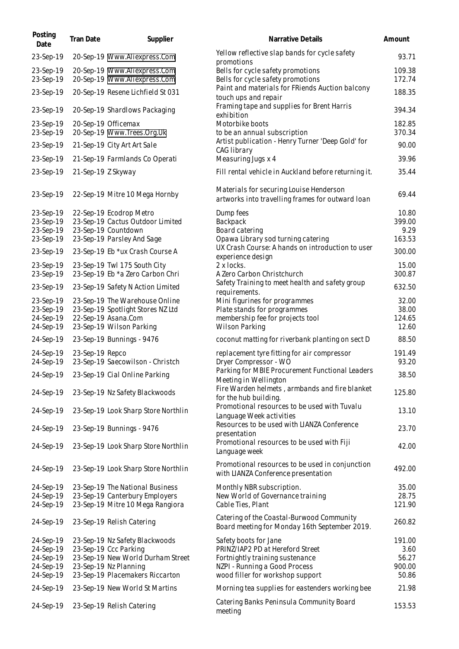| Posting<br>Date                                               | Tran Date          | Supplier                                                                                                                                                 | Narrative Details                                                                                                                                                 | Amount                                     |
|---------------------------------------------------------------|--------------------|----------------------------------------------------------------------------------------------------------------------------------------------------------|-------------------------------------------------------------------------------------------------------------------------------------------------------------------|--------------------------------------------|
| 23-Sep-19                                                     |                    | 20-Sep-19 Www.Aliexpress.Com                                                                                                                             | Yellow reflective slap bands for cycle safety                                                                                                                     | 93.71                                      |
| 23-Sep-19<br>23-Sep-19                                        |                    | 20-Sep-19 Www.Aliexpress.Com<br>20-Sep-19 Www.Aliexpress.Com                                                                                             | promotions<br>Bells for cycle safety promotions<br>Bells for cycle safety promotions                                                                              | 109.38<br>172.74                           |
| 23-Sep-19                                                     |                    | 20-Sep-19 Resene Lichfield St 031                                                                                                                        | Paint and materials for FRiends Auction balcony<br>touch ups and repair                                                                                           | 188.35                                     |
| 23-Sep-19                                                     |                    | 20-Sep-19 Shardlows Packaging                                                                                                                            | Framing tape and supplies for Brent Harris<br>exhibition                                                                                                          | 394.34                                     |
| 23-Sep-19<br>23-Sep-19                                        |                    | 20-Sep-19 Officemax<br>20-Sep-19 Www.Trees.Org.Uk                                                                                                        | Motorbike boots<br>to be an annual subscription                                                                                                                   | 182.85<br>370.34                           |
| 23-Sep-19                                                     |                    | 21-Sep-19 City Art Art Sale                                                                                                                              | Artist publication - Henry Turner 'Deep Gold' for<br>CAG library                                                                                                  | 90.00                                      |
| 23-Sep-19                                                     |                    | 21-Sep-19 Farmlands Co Operati                                                                                                                           | Measuring Jugs x 4                                                                                                                                                | 39.96                                      |
| 23-Sep-19                                                     | 21-Sep-19 Z Skyway |                                                                                                                                                          | Fill rental vehicle in Auckland before returning it.                                                                                                              | 35.44                                      |
| 23-Sep-19                                                     |                    | 22-Sep-19 Mitre 10 Mega Hornby                                                                                                                           | Materials for securing Louise Henderson<br>artworks into travelling frames for outward loan                                                                       | 69.44                                      |
| 23-Sep-19<br>23-Sep-19<br>23-Sep-19<br>23-Sep-19              |                    | 22-Sep-19 Ecodrop Metro<br>23-Sep-19 Cactus Outdoor Limited<br>23-Sep-19 Countdown<br>23-Sep-19 Parsley And Sage                                         | Dump fees<br>Backpack<br>Board catering<br>Opawa Library sod turning catering                                                                                     | 10.80<br>399.00<br>9.29<br>163.53          |
| 23-Sep-19                                                     |                    | 23-Sep-19 Eb *ux Crash Course A                                                                                                                          | UX Crash Course: A hands on introduction to user<br>experience design                                                                                             | 300.00                                     |
| 23-Sep-19<br>23-Sep-19                                        |                    | 23-Sep-19 Twl 175 South City<br>23-Sep-19 Eb *a Zero Carbon Chri                                                                                         | 2 x locks.<br>A Zero Carbon Christchurch                                                                                                                          | 15.00<br>300.87                            |
| 23-Sep-19                                                     |                    | 23-Sep-19 Safety N Action Limited                                                                                                                        | Safety Training to meet health and safety group<br>requirements.                                                                                                  | 632.50                                     |
| 23-Sep-19<br>23-Sep-19<br>24-Sep-19                           |                    | 23-Sep-19 The Warehouse Online<br>23-Sep-19 Spotlight Stores NZ Ltd<br>22-Sep-19 Asana.Com                                                               | Mini figurines for programmes<br>Plate stands for programmes<br>membership fee for projects tool                                                                  | 32.00<br>38.00<br>124.65                   |
| 24-Sep-19                                                     |                    | 23-Sep-19 Wilson Parking                                                                                                                                 | Wilson Parking                                                                                                                                                    | 12.60                                      |
| 24-Sep-19                                                     |                    | 23-Sep-19 Bunnings - 9476                                                                                                                                | coconut matting for riverbank planting on sect D                                                                                                                  | 88.50                                      |
| 24-Sep-19<br>24-Sep-19                                        | 23-Sep-19 Repco    | 23-Sep-19 Saecowilson - Christch                                                                                                                         | replacement tyre fitting for air compressor<br>Dryer Compressor - WO                                                                                              | 191.49<br>93.20                            |
| 24-Sep-19                                                     |                    | 23-Sep-19 Cial Online Parking                                                                                                                            | Parking for MBIE Procurement Functional Leaders<br>Meeting in Wellington                                                                                          | 38.50                                      |
| 24-Sep-19                                                     |                    | 23-Sep-19 Nz Safety Blackwoods                                                                                                                           | Fire Warden helmets, armbands and fire blanket<br>for the hub building.                                                                                           | 125.80                                     |
| 24-Sep-19                                                     |                    | 23-Sep-19 Look Sharp Store Northlin                                                                                                                      | Promotional resources to be used with Tuvalu<br>Language Week activities                                                                                          | 13.10                                      |
| 24-Sep-19                                                     |                    | 23-Sep-19 Bunnings - 9476                                                                                                                                | Resources to be used with LIANZA Conference<br>presentation                                                                                                       | 23.70                                      |
| 24-Sep-19                                                     |                    | 23-Sep-19 Look Sharp Store Northlin                                                                                                                      | Promotional resources to be used with Fiji<br>Language week                                                                                                       | 42.00                                      |
| 24-Sep-19                                                     |                    | 23-Sep-19 Look Sharp Store Northlin                                                                                                                      | Promotional resources to be used in conjunction<br>with LIANZA Conference presentation                                                                            | 492.00                                     |
| 24-Sep-19                                                     |                    | 23-Sep-19 The National Business                                                                                                                          | Monthly NBR subscription.                                                                                                                                         | 35.00                                      |
| 24-Sep-19<br>24-Sep-19                                        |                    | 23-Sep-19 Canterbury Employers<br>23-Sep-19 Mitre 10 Mega Rangiora                                                                                       | New World of Governance training<br>Cable Ties, Plant                                                                                                             | 28.75<br>121.90                            |
| 24-Sep-19                                                     |                    | 23-Sep-19 Relish Catering                                                                                                                                | Catering of the Coastal-Burwood Community<br>Board meeting for Monday 16th September 2019.                                                                        | 260.82                                     |
| 24-Sep-19<br>24-Sep-19<br>24-Sep-19<br>24-Sep-19<br>24-Sep-19 |                    | 23-Sep-19 Nz Safety Blackwoods<br>23-Sep-19 Ccc Parking<br>23-Sep-19 New World Durham Street<br>23-Sep-19 Nz Planning<br>23-Sep-19 Placemakers Riccarton | Safety boots for Jane<br>PRINZ/IAP2 PD at Hereford Street<br>Fortnightly training sustenance<br>NZPI - Running a Good Process<br>wood filler for workshop support | 191.00<br>3.60<br>56.27<br>900.00<br>50.86 |
| 24-Sep-19                                                     |                    | 23-Sep-19 New World St Martins                                                                                                                           | Morning tea supplies for eastenders working bee                                                                                                                   | 21.98                                      |
| 24-Sep-19                                                     |                    | 23-Sep-19 Relish Catering                                                                                                                                | Catering Banks Peninsula Community Board<br>meeting                                                                                                               | 153.53                                     |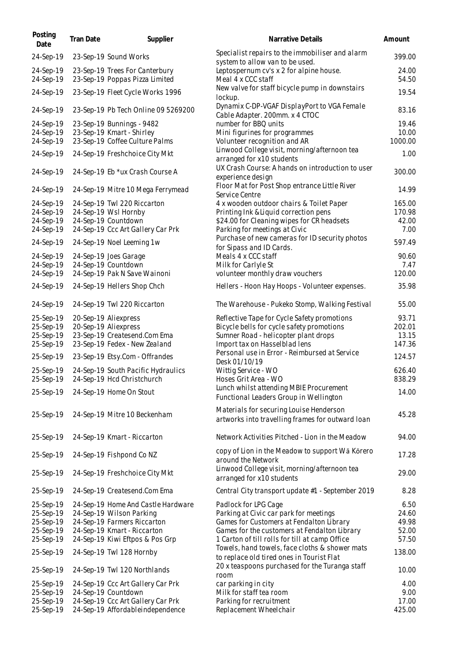| Posting<br>Date        | Tran Date | Supplier                                                         | Narrative Details                                                                                | Amount          |
|------------------------|-----------|------------------------------------------------------------------|--------------------------------------------------------------------------------------------------|-----------------|
| 24-Sep-19              |           | 23-Sep-19 Sound Works                                            | Specialist repairs to the immobiliser and alarm<br>system to allow van to be used.               | 399.00          |
| 24-Sep-19<br>24-Sep-19 |           | 23-Sep-19 Trees For Canterbury<br>23-Sep-19 Poppas Pizza Limited | Leptospernum cv's x 2 for alpine house.<br>Meal 4 x CCC staff                                    | 24.00<br>54.50  |
| 24-Sep-19              |           | 23-Sep-19 Fleet Cycle Works 1996                                 | New valve for staff bicycle pump in downstairs<br>lockup.                                        | 19.54           |
| 24-Sep-19              |           | 23-Sep-19 Pb Tech Online 09 5269200                              | Dynamix C-DP-VGAF DisplayPort to VGA Female<br>Cable Adapter. 200mm. x 4 CTOC                    | 83.16           |
| 24-Sep-19              |           | 23-Sep-19 Bunnings - 9482                                        | number for BBQ units                                                                             | 19.46           |
| 24-Sep-19              |           | 23-Sep-19 Kmart - Shirley                                        | Mini figurines for programmes                                                                    | 10.00           |
| 24-Sep-19              |           | 23-Sep-19 Coffee Culture Palms                                   | Volunteer recognition and AR                                                                     | 1000.00         |
| 24-Sep-19              |           | 24-Sep-19 Freshchoice City Mkt                                   | Linwood College visit, morning/afternoon tea<br>arranged for x10 students                        | 1.00            |
| 24-Sep-19              |           | 24-Sep-19 Eb *ux Crash Course A                                  | UX Crash Course: A hands on introduction to user<br>experience design                            | 300.00          |
| 24-Sep-19              |           | 24-Sep-19 Mitre 10 Mega Ferrymead                                | Floor Mat for Post Shop entrance Little River<br>Service Centre                                  | 14.99           |
| 24-Sep-19              |           | 24-Sep-19 Twl 220 Riccarton                                      | 4 x wooden outdoor chairs & Toilet Paper                                                         | 165.00          |
| 24-Sep-19              |           | 24-Sep-19 Wsl Hornby                                             | Printing Ink & Liquid correction pens                                                            | 170.98          |
| 24-Sep-19              |           | 24-Sep-19 Countdown                                              | \$24.00 for Cleaning wipes for CR headsets                                                       | 42.00           |
| 24-Sep-19              |           | 24-Sep-19 Ccc Art Gallery Car Prk                                | Parking for meetings at Civic                                                                    | 7.00            |
| 24-Sep-19              |           | 24-Sep-19 Noel Leeming 1w                                        | Purchase of new cameras for ID security photos<br>for Sipass and ID Cards.                       | 597.49          |
| 24-Sep-19              |           | 24-Sep-19 Joes Garage                                            | Meals 4 x CCC staff                                                                              | 90.60           |
| 24-Sep-19              |           | 24-Sep-19 Countdown                                              | Milk for Carlyle St                                                                              | 7.47            |
| 24-Sep-19<br>24-Sep-19 |           | 24-Sep-19 Pak N Save Wainoni<br>24-Sep-19 Hellers Shop Chch      | volunteer monthly draw vouchers<br>Hellers - Hoon Hay Hoops - Volunteer expenses.                | 120.00<br>35.98 |
|                        |           |                                                                  |                                                                                                  |                 |
| 24-Sep-19<br>25-Sep-19 |           | 24-Sep-19 Twl 220 Riccarton<br>20-Sep-19 Aliexpress              | The Warehouse - Pukeko Stomp, Walking Festival<br>Reflective Tape for Cycle Safety promotions    | 55.00<br>93.71  |
| 25-Sep-19              |           | 20-Sep-19 Aliexpress                                             | Bicycle bells for cycle safety promotions                                                        | 202.01          |
| 25-Sep-19              |           | 23-Sep-19 Createsend.Com Ema                                     | Sumner Road - helicopter plant drops                                                             | 13.15           |
| 25-Sep-19              |           | 23-Sep-19 Fedex - New Zealand                                    | Import tax on Hasselblad lens                                                                    | 147.36          |
| 25-Sep-19              |           | 23-Sep-19 Etsy.Com - Offrandes                                   | Personal use in Error - Reimbursed at Service<br>Desk 01/10/19                                   | 124.57          |
| 25-Sep-19              |           | 24-Sep-19 South Pacific Hydraulics                               | Wittig Service - WO                                                                              | 626.40          |
| 25-Sep-19              |           | 24-Sep-19 Hcd Christchurch                                       | Hoses Grit Area - WO                                                                             | 838.29          |
| 25-Sep-19              |           | 24-Sep-19 Home On Stout                                          | Lunch whilst attending MBIE Procurement<br>Functional Leaders Group in Wellington                | 14.00           |
| 25-Sep-19              |           | 24-Sep-19 Mitre 10 Beckenham                                     | Materials for securing Louise Henderson<br>artworks into travelling frames for outward loan      | 45.28           |
| 25-Sep-19              |           | 24-Sep-19 Kmart - Riccarton                                      | Network Activities Pitched - Lion in the Meadow                                                  | 94.00           |
| 25-Sep-19              |           | 24-Sep-19 Fishpond Co NZ                                         | copy of Lion in the Meadow to support Wa Korero<br>around the Network                            | 17.28           |
| 25-Sep-19              |           | 24-Sep-19 Freshchoice City Mkt                                   | Linwood College visit, morning/afternoon tea<br>arranged for x10 students                        | 29.00           |
| 25-Sep-19              |           | 24-Sep-19 Createsend.Com Ema                                     | Central City transport update #1 - September 2019                                                | 8.28            |
| 25-Sep-19              |           | 24-Sep-19 Home And Castle Hardware                               | Padlock for LPG Cage                                                                             | 6.50            |
| 25-Sep-19              |           | 24-Sep-19 Wilson Parking                                         | Parking at Civic car park for meetings                                                           | 24.60           |
| 25-Sep-19              |           | 24-Sep-19 Farmers Riccarton                                      | Games for Customers at Fendalton Library                                                         | 49.98           |
| 25-Sep-19              |           | 24-Sep-19 Kmart - Riccarton                                      | Games for the customers at Fendalton Library                                                     | 52.00           |
| 25-Sep-19<br>25-Sep-19 |           | 24-Sep-19 Kiwi Eftpos & Pos Grp<br>24-Sep-19 Twl 128 Hornby      | 1 Carton of till rolls for till at camp Office<br>Towels, hand towels, face cloths & shower mats | 57.50<br>138.00 |
|                        |           | 24-Sep-19 Twl 120 Northlands                                     | to replace old tired ones in Tourist Flat<br>20 x teaspoons purchased for the Turanga staff      | 10.00           |
| 25-Sep-19              |           |                                                                  | room                                                                                             |                 |
| 25-Sep-19              |           | 24-Sep-19 Ccc Art Gallery Car Prk                                | car parking in city                                                                              | 4.00<br>9.00    |
| 25-Sep-19<br>25-Sep-19 |           | 24-Sep-19 Countdown<br>24-Sep-19 Ccc Art Gallery Car Prk         | Milk for staff tea room<br>Parking for recruitment                                               | 17.00           |
| 25-Sep-19              |           | 24-Sep-19 Affordableindependence                                 | Replacement Wheelchair                                                                           | 425.00          |